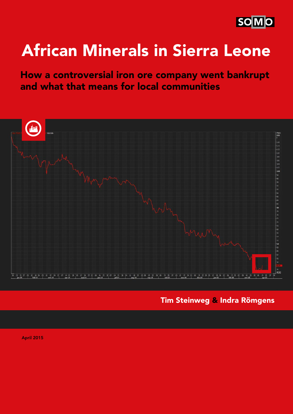

# African Minerals in Sierra Leone

How a controversial iron ore company went bankrupt and what that means for local communities



Tim Steinweg & Indra Römgens

April 2015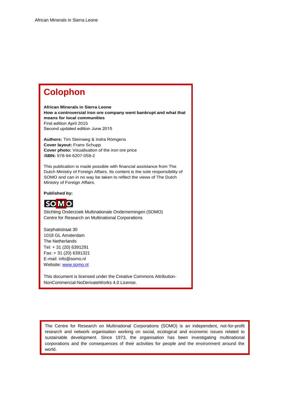# **Colophon**

**African Minerals in Sierra Leone How a controversial iron ore company went bankrupt and what that means for local communities**  First edition April 2015 Second updated edition June 2015

**Authors:** Tim Steinweg & Indra Römgens **Cover layout:** Frans Schupp **Cover photo:** Visualisation of the iron ore price I**SBN:** 978-94-6207-059-2

This publication is made possible with financial assistance from The Dutch Ministry of Foreign Affairs. Its content is the sole responsibility of SOMO and can in no way be taken to reflect the views of The Dutch Ministry of Foreign Affairs.

**Published by:** 



Stichting Onderzoek Multinationale Ondernemingen (SOMO) Centre for Research on Multinational Corporations

Sarphatistraat 30 1018 GL Amsterdam The Netherlands Tel: + 31 (20) 6391291 Fax: + 31 (20) 6391321 E-mail: info@somo.nl Website[: www.somo.nl](http://www.somo.nl/)

This document is licensed under the Creative Commons Attribution-NonCommercial-NoDerivateWorks 4.0 License.

The Centre for Research on Multinational Corporations (SOMO) is an independent, not-for-profit research and network organisation working on social, ecological and economic issues related to sustainable development. Since 1973, the organisation has been investigating multinational corporations and the consequences of their activities for people and the environment around the world.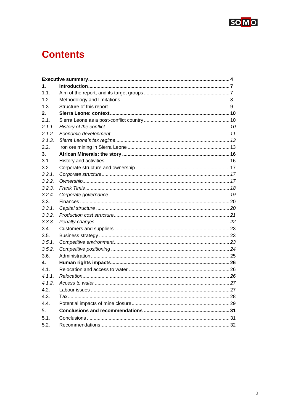

# **Contents**

<span id="page-2-0"></span>

| $\mathbf{1}$ . |  |  |  |  |
|----------------|--|--|--|--|
| 1.1.           |  |  |  |  |
| 1.2.           |  |  |  |  |
| 1.3.           |  |  |  |  |
| 2.             |  |  |  |  |
| 2.1.           |  |  |  |  |
| 2.1.1.         |  |  |  |  |
| 2.1.2.         |  |  |  |  |
| 2.1.3.         |  |  |  |  |
| 2.2.           |  |  |  |  |
| 3.             |  |  |  |  |
| 3.1.           |  |  |  |  |
| 3.2.           |  |  |  |  |
| 3.2.1.         |  |  |  |  |
| 3.2.2.         |  |  |  |  |
| 3.2.3.         |  |  |  |  |
| 3.2.4.         |  |  |  |  |
| 3.3.           |  |  |  |  |
| 3.3.1.         |  |  |  |  |
| 3.3.2.         |  |  |  |  |
| 3.3.3.         |  |  |  |  |
| 3.4.           |  |  |  |  |
| 3.5.           |  |  |  |  |
| 3.5.1.         |  |  |  |  |
| 3.5.2.         |  |  |  |  |
| 3.6.           |  |  |  |  |
| 4.             |  |  |  |  |
| 4.1.           |  |  |  |  |
| 4.1.1.         |  |  |  |  |
| 4.1.2.         |  |  |  |  |
| 4.2.           |  |  |  |  |
| 4.3.           |  |  |  |  |
| 4.4.           |  |  |  |  |
| 5.             |  |  |  |  |
| 5.1.           |  |  |  |  |
| 5.2.           |  |  |  |  |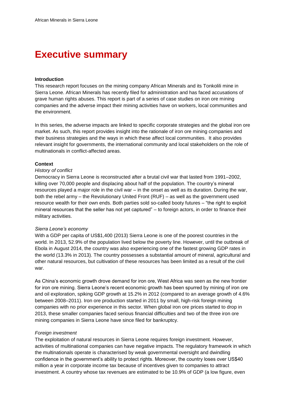# **Executive summary**

#### **Introduction**

This research report focuses on the mining company African Minerals and its Tonkolili mine in Sierra Leone. African Minerals has recently filed for administration and has faced accusations of grave human rights abuses. This report is part of a series of case studies on iron ore mining companies and the adverse impact their mining activities have on workers, local communities and the environment.

In this series, the adverse impacts are linked to specific corporate strategies and the global iron ore market. As such, this report provides insight into the rationale of iron ore mining companies and their business strategies and the ways in which these affect local communities. It also provides relevant insight for governments, the international community and local stakeholders on the role of multinationals in conflict-affected areas.

#### **Context**

#### *History of conflict*

Democracy in Sierra Leone is reconstructed after a brutal civil war that lasted from 1991–2002, killing over 70,000 people and displacing about half of the population. The country's mineral resources played a major role in the civil war – in the onset as well as its duration. During the war, both the rebel army – the Revolutionary United Front (RUF) – as well as the government used resource wealth for their own ends. Both parties sold so-called booty futures – "the right to exploit mineral resources that the seller has not yet captured" – to foreign actors, in order to finance their military activities.

#### *Sierra Leone's economy*

With a GDP per capita of US\$1,400 (2013) Sierra Leone is one of the poorest countries in the world. In 2013, 52.9% of the population lived below the poverty line. However, until the outbreak of Ebola in August 2014, the country was also experiencing one of the fastest growing GDP rates in the world (13.3% in 2013). The country possesses a substantial amount of mineral, agricultural and other natural resources, but cultivation of these resources has been limited as a result of the civil war.

As China's economic growth drove demand for iron ore, West Africa was seen as the new frontier for iron ore mining. Sierra Leone's recent economic growth has been spurred by mining of iron ore and oil exploration, spiking GDP growth at 15.2% in 2012 (compared to an average growth of 4.6% between 2008–2011). Iron ore production started in 2011 by small, high-risk foreign mining companies with no prior experience in this sector. When global iron ore prices started to drop in 2013, these smaller companies faced serious financial difficulties and two of the three iron ore mining companies in Sierra Leone have since filed for bankruptcy.

#### *Foreign investment*

The exploitation of natural resources in Sierra Leone requires foreign investment. However, activities of multinational companies can have negative impacts. The regulatory framework in which the multinationals operate is characterised by weak governmental oversight and dwindling confidence in the government's ability to protect rights. Moreover, the country loses over US\$40 million a year in corporate income tax because of incentives given to companies to attract investment. A country whose tax revenues are estimated to be 10.9% of GDP (a low figure, even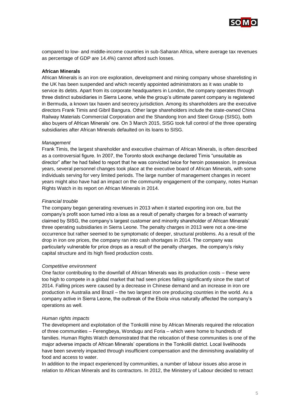

compared to low- and middle-income countries in sub-Saharan Africa, where average tax revenues as percentage of GDP are 14.4%) cannot afford such losses.

#### **African Minerals**

African Minerals is an iron ore exploration, development and mining company whose sharelisting in the UK has been suspended and which recently appointed administrators as it was unable to service its debts. Apart from its corporate headquarters in London, the company operates through three distinct subsidiaries in Sierra Leone, while the group's ultimate parent company is registered in Bermuda, a known tax haven and secrecy jurisdiction. Among its shareholders are the executive directors Frank Timis and Gibril Bangura. Other large shareholders include the state-owned China Railway Materials Commercial Corporation and the Shandong Iron and Steel Group (SISG), both also buyers of African Minerals' ore. On 3 March 2015, SISG took full control of the three operating subsidiaries after African Minerals defaulted on its loans to SISG.

#### *Management*

Frank Timis, the largest shareholder and executive chairman of African Minerals, is often described as a controversial figure. In 2007, the Toronto stock exchange declared Timis "unsuitable as director" after he had failed to report that he was convicted twice for heroin possession. In previous years, several personnel changes took place at the executive board of African Minerals, with some individuals serving for very limited periods. The large number of management changes in recent years might also have had an impact on the community engagement of the company, notes Human Rights Watch in its report on African Minerals in 2014.

#### *Financial trouble*

The company began generating revenues in 2013 when it started exporting iron ore, but the company's profit soon turned into a loss as a result of penalty charges for a breach of warranty claimed by SISG, the company's largest customer and minority shareholder of African Minerals' three operating subsidiaries in Sierra Leone. The penalty charges in 2013 were not a one-time occurrence but rather seemed to be symptomatic of deeper, structural problems. As a result of the drop in iron ore prices, the company ran into cash shortages in 2014. The company was particularly vulnerable for price drops as a result of the penalty charges, the company's risky capital structure and its high fixed production costs.

#### *Competitive environment*

One factor contributing to the downfall of African Minerals was its production costs – these were too high to compete in a global market that had seen prices falling significantly since the start of 2014. Falling prices were caused by a decrease in Chinese demand and an increase in iron ore production in Australia and Brazil – the two largest iron ore producing countries in the world. As a company active in Sierra Leone, the outbreak of the Ebola virus naturally affected the company's operations as well.

#### *Human rights impacts*

The development and exploitation of the Tonkolili mine by African Minerals required the relocation of three communities – Ferengbeya, Wondugu and Foria – which were home to hundreds of families. Human Rights Watch demonstrated that the relocation of these communities is one of the major adverse impacts of African Minerals' operations in the Tonkolili district. Local livelihoods have been severely impacted through insufficient compensation and the diminishing availability of food and access to water.

In addition to the impact experienced by communities, a number of labour issues also arose in relation to African Minerals and its contractors. In 2012, the Ministery of Labour decided to retract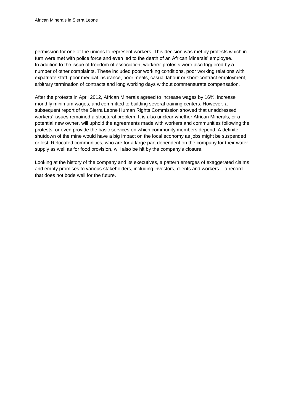permission for one of the unions to represent workers. This decision was met by protests which in turn were met with police force and even led to the death of an African Minerals' employee. In addition to the issue of freedom of association, workers' protests were also triggered by a number of other complaints. These included poor working conditions, poor working relations with expatriate staff, poor medical insurance, poor meals, casual labour or short-contract employment, arbitrary termination of contracts and long working days without commensurate compensation.

After the protests in April 2012, African Minerals agreed to increase wages by 16%, increase monthly minimum wages, and committed to building several training centers. However, a subsequent report of the Sierra Leone Human Rights Commission showed that unaddressed workers' issues remained a structural problem. It is also unclear whether African Minerals, or a potential new owner, will uphold the agreements made with workers and communities following the protests, or even provide the basic services on which community members depend. A definite shutdown of the mine would have a big impact on the local economy as jobs might be suspended or lost. Relocated communities, who are for a large part dependent on the company for their water supply as well as for food provision, will also be hit by the company's closure.

Looking at the history of the company and its executives, a pattern emerges of exaggerated claims and empty promises to various stakeholders, including investors, clients and workers – a record that does not bode well for the future.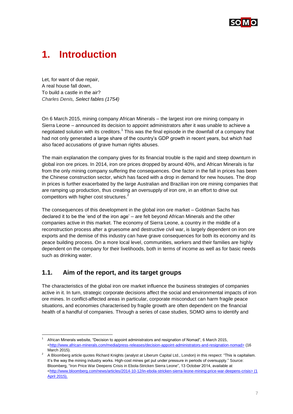

# <span id="page-6-0"></span>**1. Introduction**

Let, for want of due repair, A real house fall down, To build a castle in the air? *Charles Denis, Select fables (1754)*

On 6 March 2015, mining company African Minerals – the largest iron ore mining company in Sierra Leone – announced its decision to appoint administrators after it was unable to achieve a negotiated solution with its creditors.<sup>1</sup> This was the final episode in the downfall of a company that had not only generated a large share of the country's GDP growth in recent years, but which had also faced accusations of grave human rights abuses.

The main explanation the company gives for its financial trouble is the rapid and steep downturn in global iron ore prices. In 2014, iron ore prices dropped by around 40%, and African Minerals is far from the only mining company suffering the consequences. One factor in the fall in prices has been the Chinese construction sector, which has faced with a drop in demand for new houses. The drop in prices is further exacerbated by the large Australian and Brazilian iron ore mining companies that are ramping up production, thus creating an oversupply of iron ore, in an effort to drive out competitors with higher cost structures.<sup>2</sup>

The consequences of this development in the global iron ore market – Goldman Sachs has declared it to be the 'end of the iron age' – are felt beyond African Minerals and the other companies active in this market. The economy of Sierra Leone, a country in the middle of a reconstruction process after a gruesome and destructive civil war, is largely dependent on iron ore exports and the demise of this industry can have grave consequences for both its economy and its peace building process. On a more local level, communities, workers and their families are highly dependent on the company for their livelihoods, both in terms of income as well as for basic needs such as drinking water.

# <span id="page-6-1"></span>**1.1. Aim of the report, and its target groups**

1

The characteristics of the global iron ore market influence the business strategies of companies active in it. In turn, strategic corporate decisions affect the social and environmental impacts of iron ore mines. In conflict-affected areas in particular, corporate misconduct can harm fragile peace situations, and economies characterised by fragile growth are often dependent on the financial health of a handful of companies. Through a series of case studies, SOMO aims to identify and

[African](http://www.african-minerals.com/media/press-releases/financing-and-operations-update) Minerals website, "Decision to appoint administrators and resignation of Nomad", 6 March 2015, <http://www.african-minerals.com/media/press-releases/decision-appoint-administrators-and-resignation-nomad> (16 March 2015).

<sup>&</sup>lt;sup>2</sup> A Bloomberg article quotes Richard Knights (analyst at Liberum Capital Ltd., London) in this respect: "This is capitalism. It's the way the mining industry works. High-cost mines get put under pressure in periods of oversupply." Source: Bloomberg, "Iron Price War Deepens Crisis in Ebola-Stricken Sierra Leone", 13 October 2014, available at [<http://www.bloomberg.com/news/articles/2014-10-12/in-ebola-stricken-sierra-leone-mining-price-war-deepens-crisis>](http://www.bloomberg.com/news/articles/2014-10-12/in-ebola-stricken-sierra-leone-mining-price-war-deepens-crisis) (1 April 2015).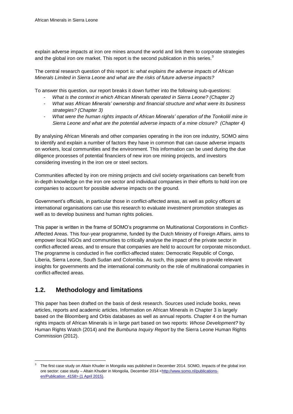explain adverse impacts at iron ore mines around the world and link them to corporate strategies and the global iron ore market. This report is the second publication in this series.<sup>3</sup>

The central research question of this report is: *what explains the adverse impacts of African Minerals Limited in Sierra Leone and what are the risks of future adverse impacts?*

To answer this question, our report breaks it down further into the following sub-questions:

- *What is the context in which African Minerals operated in Sierra Leone? (Chapter 2)*
- *What was African Minerals' ownership and financial structure and what were its business strategies? (Chapter 3)*
- *What were the human rights impacts of African Minerals' operation of the Tonkolili mine in Sierra Leone and what are the potential adverse impacts of a mine closure? (Chapter 4)*

By analysing African Minerals and other companies operating in the iron ore industry, SOMO aims to identify and explain a number of factors they have in common that can cause adverse impacts on workers, local communities and the environment. This information can be used during the due diligence processes of potential financiers of new iron ore mining projects, and investors considering investing in the iron ore or steel sectors.

Communities affected by iron ore mining projects and civil society organisations can benefit from in-depth knowledge on the iron ore sector and individual companies in their efforts to hold iron ore companies to account for possible adverse impacts on the ground.

Government's officials, in particular those in conflict-affected areas, as well as policy officers at international organisations can use this research to evaluate investment promotion strategies as well as to develop business and human rights policies.

This paper is written in the frame of SOMO's programme on Multinational Corporations in Conflict-Affected Areas. This four-year programme, funded by the Dutch Ministry of Foreign Affairs, aims to empower local NGOs and communities to critically analyse the impact of the private sector in conflict-affected areas, and to ensure that companies are held to account for corporate misconduct. The programme is conducted in five conflict-affected states: Democratic Republic of Congo, Liberia, Sierra Leone, South Sudan and Colombia. As such, this paper aims to provide relevant insights for governments and the international community on the role of multinational companies in conflict-affected areas.

# <span id="page-7-0"></span>**1.2. Methodology and limitations**

l

This paper has been drafted on the basis of desk research. Sources used include books, news articles, reports and academic articles. Information on African Minerals in Chapter 3 is largely based on the Bloomberg and Orbis databases as well as annual reports. Chapter 4 on the human rights impacts of African Minerals is in large part based on two reports: *Whose Development?* by Human Rights Watch (2014) and the *Bumbuna Inquiry Report* by the Sierra Leone Human Rights Commission (2012).

<sup>3</sup> The first case study on Altain Khuder in Mongolia was published in December 2014. SOMO, Impacts of the global iron ore sector: case study – Altain Khuder in Mongolia*,* December 2014 [<http://www.somo.nl/publications](http://www.somo.nl/publications-en/Publication_4158)[en/Publication\\_4158>](http://www.somo.nl/publications-en/Publication_4158) (1 April 2015).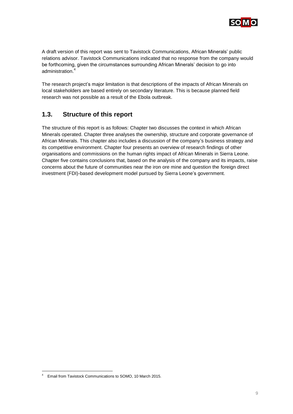

A draft version of this report was sent to Tavistock Communications, African Minerals' public relations advisor. Tavistock Communications indicated that no response from the company would be forthcoming, given the circumstances surrounding African Minerals' decision to go into administration.<sup>4</sup>

The research project's major limitation is that descriptions of the impacts of African Minerals on local stakeholders are based entirely on secondary literature. This is because planned field research was not possible as a result of the Ebola outbreak.

# <span id="page-8-0"></span>**1.3. Structure of this report**

The structure of this report is as follows: Chapter two discusses the context in which African Minerals operated. Chapter three analyses the ownership, structure and corporate governance of African Minerals. This chapter also includes a discussion of the company's business strategy and its competitive environment. Chapter four presents an overview of research findings of other organisations and commissions on the human rights impact of African Minerals in Sierra Leone. Chapter five contains conclusions that, based on the analysis of the company and its impacts, raise concerns about the future of communities near the iron ore mine and question the foreign direct investment (FDI)-based development model pursued by Sierra Leone's government.

-

<sup>4</sup> Email from Tavistock Communications to SOMO, 10 March 2015.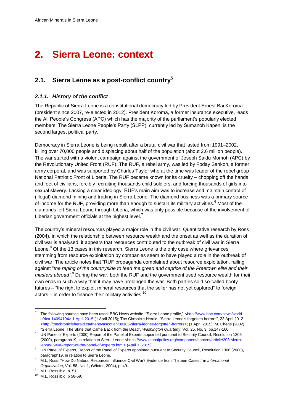# <span id="page-9-0"></span>**2. Sierra Leone: context**

# <span id="page-9-1"></span>**2.1. Sierra Leone as a post-conflict country<sup>5</sup>**

#### <span id="page-9-2"></span>*2.1.1. History of the conflict*

The Republic of Sierra Leone is a constitutional democracy led by President Ernest Bai Koroma (president since 2007, re-elected in 2012). President Koroma, a former insurance executive, leads the All People's Congress (APC) which has the majority of the parliament's popularly elected members. The Sierra Leone People's Party (SLPP), currently led by Sumanoh Kapen, is the second largest political party.

Democracy in Sierra Leone is being rebuilt after a brutal civil war that lasted from 1991–2002, killing over 70,000 people and displacing about half of the population (about 2.6 million people). The war started with a violent campaign against the government of Joseph Saidu Momoh (APC) by the Revolutionary United Front (RUF). The RUF, a rebel army, was led by Foday Sankoh, a former army corporal, and was supported by Charles Taylor who at the time was leader of the rebel group National Patriotic Front of Liberia. The RUF became known for its cruelty – chopping off the hands and feet of civilians, forcibly recruiting thousands child soldiers, and forcing thousands of girls into sexual slavery. Lacking a clear ideology, RUF's main aim was to increase and maintain control of (illegal) diamond mining and trading in Sierra Leone. The diamond business was a primary source of income for the RUF, providing more than enough to sustain its military activities.<sup>6</sup> Most of the diamonds left Sierra Leone through Liberia, which was only possible because of the involvement of Liberian government officials at the highest level.<sup>7</sup>

The country's mineral resources played a major role in the civil war. Quantitative research by Ross (2004), in which the relationship between resource wealth and the onset as well as the duration of civil war is analysed, it appears that resources contributed to the outbreak of civil war in Sierra Leone.<sup>8</sup> Of the 13 cases in this research, Sierra Leone is the only case where grievances stemming from resource exploitation by companies seem to have played a role in the outbreak of civil war. The article notes that "RUF propaganda complained about resource exploitation, railing against "*the raping of the countryside to feed the greed and caprice of the Freetown elite and their masters abroad".*<sup>9</sup> During the war, both the RUF and the government used resource wealth for their own ends in such a way that it may have prolonged the war. Both parties sold so-called booty futures – "the right to exploit mineral resources that the seller has not yet captured" to foreign actors – in order to finance their military activities.<sup>10</sup>

<sup>5</sup> The following sources have been used: BBC News website, "Sierra Leone profile," [<http://www.bbc.com/news/world](http://www.bbc.com/news/world-africa-14094194)[africa-14094194>](http://www.bbc.com/news/world-africa-14094194) 1 April 2015 (1 April 2015); The Chronicle Herald, "Sierra Leone's forgotten horrors", 22 April 2012 [<http://thechronicleherald.ca/thenovascotian/89185-sierra-leones-forgotten-horrors>](http://thechronicleherald.ca/thenovascotian/89185-sierra-leones-forgotten-horrors); (1 April 2015); M. Chege (2002) "Sierra Leone: The State that Came Back from the Dead", *Washington Quarterly*, Vol. 25, No. 3, pp.147-160.

<sup>6</sup> UN Panel of Experts (2000) Report of the Panel of Experts appointed pursuant to Security Council, Resolution 1306 (2000), paragraph19, in relation to Sierra Leone [<https://www.globalpolicy.org/component/content/article/203-sierra](https://www.globalpolicy.org/component/content/article/203-sierra-leone/39446-report-of-the-panel-of-experts.html)[leone/39446-report-of-the-panel-of-experts.html>](https://www.globalpolicy.org/component/content/article/203-sierra-leone/39446-report-of-the-panel-of-experts.html) (April 1, 2015).

<sup>&</sup>lt;sup>7</sup> UN Panel of Experts, Report of the Panel of Experts appointed pursuant to Security Council, Resolution 1306 (2000), paragraph19, in relation to Sierra Leone.

<sup>8</sup> M.L. Ross, "How Do Natural Resources Influence Civil War? Evidence from Thirteen Cases," in *International Organization*, Vol. 58, No. 1, (Winter, 2004), p. 49.

<sup>&</sup>lt;sup>9</sup> M.L. Ross ibid, p. 51.

<sup>10</sup> M.L. Ross ibid, p 58-59.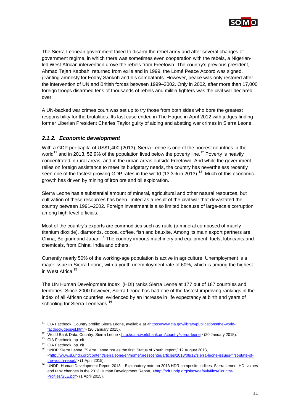

The Sierra Leonean government failed to disarm the rebel army and after several changes of government regime, in which there was sometimes even cooperation with the rebels, a Nigerianled West African intervention drove the rebels from Freetown. The country's previous president, Ahmad Tejan Kabbah, returned from exile and in 1999, the Lomé Peace Accord was signed, granting amnesty for Foday Sankoh and his combatants. However, peace was only restored after the intervention of UN and British forces between 1999–2002. Only in 2002, after more than 17,000 foreign troops disarmed tens of thousands of rebels and militia fighters was the civil war declared over.

A UN-backed war crimes court was set up to try those from both sides who bore the greatest responsibility for the brutalities. Its last case ended in The Hague in April 2012 with judges finding former Liberian President Charles Taylor guilty of aiding and abetting war crimes in Sierra Leone.

### <span id="page-10-0"></span>*2.1.2. Economic development*

With a GDP per capita of US\$1,400 (2013), Sierra Leone is one of the poorest countries in the world<sup>11</sup> and in 2013, 52.9% of the population lived below the poverty line.<sup>12</sup> Poverty is heavily concentrated in rural areas, and in the urban areas outside Freetown. And while the government relies on foreign assistance to meet its budgetary needs, the country has nevertheless recently seen one of the fastest growing GDP rates in the world (13.3% in 2013).<sup>13</sup> Much of this economic growth has driven by mining of iron ore and oil exploration.

Sierra Leone has a substantial amount of mineral, agricultural and other natural resources, but cultivation of these resources has been limited as a result of the civil war that devastated the country between 1991–2002. Foreign investment is also limited because of large-scale corruption among high-level officials.

Most of the country's exports are commodities such as rutile (a mineral composed of mainly titanium dioxide), diamonds, cocoa, coffee, fish and bauxite. Among its main export partners are China, Belgium and Japan.<sup>14</sup> The country imports machinery and equipment, fuels, lubricants and chemicals, from China, India and others.

Currently nearly 50% of the working-age population is active in agriculture. Unemployment is a major issue in Sierra Leone, with a youth unemployment rate of 60%, which is among the highest in West Africa.<sup>15</sup>

The UN Human Development Index (HDI) ranks Sierra Leone at 177 out of 187 countries and territories. Since 2000 however, Sierra Leone has had one of the fastest improving rankings in the index of all African countries, evidenced by an increase in life expectancy at birth and years of schooling for Sierra Leoneans.<sup>16</sup>

1

<sup>11</sup> CIA Factbook, Country profile: Sierra Leone, available at [<https://www.cia.gov/library/publications/the-world](https://www.cia.gov/library/publications/the-world-factbook/geos/sl.html)[factbook/geos/sl.html>](https://www.cia.gov/library/publications/the-world-factbook/geos/sl.html) (20 January 2015).

<sup>12</sup> World Bank Data, Country: Sierra Leone [<http://data.worldbank.org/country/sierra-leone>](http://data.worldbank.org/country/sierra-leone) (20 January 2015).

<sup>&</sup>lt;sup>13</sup> CIA Factbook, op. cit.

<sup>14</sup> CIA Factbook, op. cit.

<sup>15</sup> UNDP Sierra Leone, "Sierra Leone issues the first 'Status of Youth' report," 12 August 2013, [<http://www.sl.undp.org/content/sierraleone/en/home/presscenter/articles/2013/08/12/sierra-leone-issues-first-state-of](http://www.sl.undp.org/content/sierraleone/en/home/presscenter/articles/2013/08/12/sierra-leone-issues-first-state-of-the-youth-report/)[the-youth-report/>](http://www.sl.undp.org/content/sierraleone/en/home/presscenter/articles/2013/08/12/sierra-leone-issues-first-state-of-the-youth-report/) (1 April 2015).

<sup>16</sup> UNDP, Human Development Report 2013 – Explanatory note on 2013 HDR composite indices. Sierra Leone: HDI values and rank changes in the 2013 Human Development Report, [<http://hdr.undp.org/sites/default/files/Country-](http://hdr.undp.org/sites/default/files/Country-Profiles/SLE.pdf)[Profiles/SLE.pdf>](http://hdr.undp.org/sites/default/files/Country-Profiles/SLE.pdf) (1 April 2015).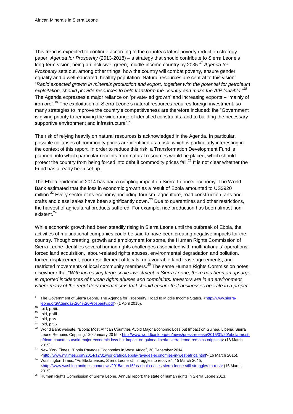This trend is expected to continue according to the country's latest poverty reduction strategy paper, *Agenda for Prosperity* (2013-2018) – a strategy that should contribute to Sierra Leone's long-term vision; being an inclusive, green, middle-income country by 2035.<sup>17</sup> *Agenda for Prosperity* sets out, among other things, how the country will combat poverty, ensure gender equality and a well-educated, healthy population. Natural resources are central to this vision: "*Rapid expected growth in minerals production and export, together with the potential for petroleum exploitation, should provide resources to help transform the country and make the AfP feasible."<sup>18</sup>* The Agenda expresses a major reliance on 'private-led growth' and increasing exports – "mainly of iron ore".<sup>19</sup> The exploitation of Sierra Leone's natural resources requires foreign investment, so many strategies to improve the country's competitiveness are therefore included: the "Government is giving priority to removing the wide range of identified constraints, and to building the necessary supportive environment and infrastructure".<sup>20</sup>

The risk of relying heavily on natural resources is acknowledged in the Agenda. In particular, possible collapses of commodity prices are identified as a risk, which is particularly interesting in the context of this report. In order to reduce this risk, a Transformation Development Fund is planned, into which particular receipts from natural resources would be placed, which should protect the country from being forced into debt if commodity prices fall.<sup>21</sup> It is not clear whether the Fund has already been set up.

The Ebola epidemic in 2014 has had a crippling impact on Sierra Leone's economy. The World Bank estimated that the loss in economic growth as a result of Ebola amounted to US\$920 million.<sup>22</sup> Every sector of its economy, including tourism, agriculture, road construction, arts and crafts and diesel sales have been significantly down.<sup>23</sup> Due to quarantines and other restrictions, the harvest of agricultural products suffered. For example, rice production has been almost nonexistent.<sup>24</sup>

While economic growth had been steadily rising in Sierra Leone until the outbreak of Ebola, the activities of multinational companies could be said to have been creating negative impacts for the country. Though creating growth and employment for some, the Human Rights Commission of Sierra Leone identifies several human rights challenges associated with multinationals' operations: forced land acquisition, labour-related rights abuses, environmental degradation and pollution, forced displacement, poor resettlement of locals, unfavourable land lease agreements, and restricted movements of local community members.<sup>25</sup> The same Human Rights Commission notes elsewhere that "*With increasing large-scale investment in Sierra Leone, there has been an upsurge in reported incidences of human rights abuses and complaints. Investors are in an environment where many of the regulatory mechanisms that should ensure that businesses operate in a proper* 

<sup>&</sup>lt;sup>17</sup> The Government of Sierra Leone, The Agenda for Prosperity. Road to Middle Income Status, [<http://www.sierra](http://www.sierra-leone.org/Agenda%204%20Prosperity.pdf)[leone.org/Agenda%204%20Prosperity.pdf>](http://www.sierra-leone.org/Agenda%204%20Prosperity.pdf) (1 April 2015).

<sup>&</sup>lt;sup>18</sup> Ibid, p.xiii.

<sup>19</sup> Ibid, p.xiii.

 $20$  Ibid, p.xv.

 $21$  Ibid, p.56.

<sup>&</sup>lt;sup>22</sup> World Bank website, "Ebola: Most African Countries Avoid Major Economic Loss but Impact on Guinea, Liberia, Sierra Leone Remains Crippling," 20 January 2015, [<http://www.worldbank.org/en/news/press-release/2015/01/20/ebola-most](http://www.worldbank.org/en/news/press-release/2015/01/20/ebola-most-african-countries-avoid-major-economic-loss-but-impact-on-guinea-liberia-sierra-leone-remains-crippling)[african-countries-avoid-major-economic-loss-but-impact-on-guinea-liberia-sierra-leone-remains-crippling>](http://www.worldbank.org/en/news/press-release/2015/01/20/ebola-most-african-countries-avoid-major-economic-loss-but-impact-on-guinea-liberia-sierra-leone-remains-crippling) (16 Match 2015).

 $23$  New York Times, "Ebola Ravages Economies in West Africa", 30 December 2014,

[<sup>&</sup>lt;http://www.nytimes.com/2014/12/31/world/africa/ebola-ravages-economies-in-west-africa.html>](http://www.nytimes.com/2014/12/31/world/africa/ebola-ravages-economies-in-west-africa.html)(16 March 2015). <sup>24</sup> Washington Times, "As Ebola eases, Sierra Leone still struggles to recover", 15 March 2015, [<http://www.washingtontimes.com/news/2015/mar/15/as-ebola-eases-sierra-leone-still-struggles-to-rec/>](http://www.washingtontimes.com/news/2015/mar/15/as-ebola-eases-sierra-leone-still-struggles-to-rec/) (16 March 2015).

<sup>&</sup>lt;sup>25</sup> Human Rights Commission of Sierra Leone, Annual report: the state of human rights in Sierra Leone 2013.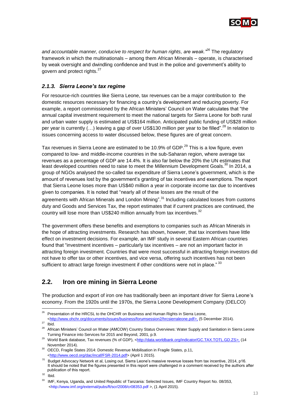

*and accountable manner, conducive to respect for human rights, are weak."<sup>26</sup>* The regulatory framework in which the multinationals – among them African Minerals – operate, is characterised by weak oversight and dwindling confidence and trust in the police and government's ability to govern and protect rights.<sup>27</sup>

### <span id="page-12-0"></span>*2.1.3. Sierra Leone's tax regime*

For resource-rich countries like Sierra Leone, tax revenues can be a major contribution to the domestic resources necessary for financing a country's development and reducing poverty. For example, a report commissioned by the African Ministers' Council on Water calculates that "the annual capital investment requirement to meet the national targets for Sierra Leone for both rural and urban water supply is estimated at US\$164 million. Anticipated public funding of US\$28 million per year is currently (...) leaving a gap of over US\$130 million per year to be filled".<sup>28</sup> In relation to issues concerning access to water discussed below, these figures are of great concern.

Tax revenues in Sierra Leone are estimated to be 10.9% of GDP.<sup>29</sup> This is a low figure, even compared to low- and middle-income countries in the sub-Saharan region, where average tax revenues as a percentage of GDP are 14.4%. It is also far below the 20% the UN estimates that agreements with African Minerals and London Mining".<sup>31</sup> Including calculated losses from customs duty and Goods and Services Tax, the report estimates that if current practices are continued, the country will lose more than US\$240 million annually from tax incentives.<sup>32</sup> least developed countries need to raise to meet the Millennium Development Goals.<sup>30</sup> In 2014, a group of NGOs analysed the so-called tax expenditure of Sierra Leone's government, which is the amount of revenues lost by the government's granting of tax incentives and exemptions. The report that Sierra Leone loses more than US\$40 million a year in corporate income tax due to incentives given to companies. It is noted that "nearly all of these losses are the result of the

The government offers these benefits and exemptions to companies such as African Minerals in the hope of attracting investments. Research has shown, however, that tax incentives have little effect on investment decisions. For example, an IMF study in several Eastern African countries found that "investment incentives – particularly tax incentives – are not an important factor in attracting foreign investment. Countries that were most successful in attracting foreign investors did not have to offer tax or other incentives, and vice versa, offering such incentives has not been sufficient to attract large foreign investment if other conditions were not in place." 33

# <span id="page-12-1"></span>**2.2. Iron ore mining in Sierra Leone**

The production and export of iron ore has traditionally been an important driver for Sierra Leone's economy. From the 1920s until the 1970s, the Sierra Leone Development Company (DELCO)

-

<sup>&</sup>lt;sup>26</sup> Presentation of the HRCSL to the OHCHR on Business and Human Rights in Sierra Leone,

[<sup>&</sup>lt;http://www.ohchr.org/documents/issues/business/forumsession2/hrcsierraleone.pdf>](http://www.ohchr.org/documents/issues/business/forumsession2/hrcsierraleone.pdf), (5 December 2014).

 $27$  Ibid.

<sup>28</sup> African Ministers' Council on Water (AMCOW) Country Status Overviews: Water Supply and Sanitation in Sierra Leone Turning Finance into Services for 2015 and Beyond, 2001, p.9.

World Bank database, Tax revenues (% of GDP), [<http://data.worldbank.org/indicator/GC.TAX.TOTL.GD.ZS>](http://data.worldbank.org/indicator/GC.TAX.TOTL.GD.ZS), (14 November 2014).

<sup>&</sup>lt;sup>30</sup> OECD, Fragile States 2014: Domestic Revenue Mobilisation in Fragile States, p.11, [<http://www.oecd.org/dac/incaf/FSR-2014.pdf>](http://www.oecd.org/dac/incaf/FSR-2014.pdf) (April 1 2015).

publication of this report. <sup>31</sup> Budget Advocacy Network et al, Losing out. Sierra Leone's massive revenue losses from tax incentive, 2014, p16. It should be noted that the figures presented in this report were challenged in a comment received by the authors after

 $32$  Ibid.

<sup>33</sup> IMF, Kenya, Uganda, and United Republic of Tanzania: Selected Issues, IMF Country Report No. 08/353, <http://www.imf.org/external/pubs/ft/scr/2008/cr08353.pdf >, (1 April 2015).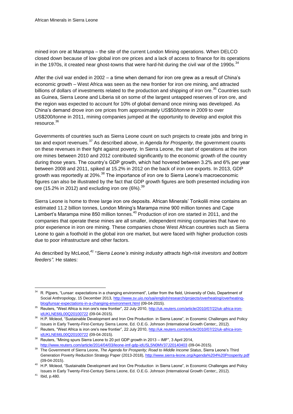mined iron ore at Marampa – the site of the current London Mining operations. When DELCO closed down because of low global iron ore prices and a lack of access to finance for its operations in the 1970s, it created near ghost-towns that were hard-hit during the civil war of the 1990s.  $34$ 

After the civil war ended in 2002 – a time when demand for iron ore grew as a result of China's economic growth – West Africa was seen as the new frontier for iron ore mining, and attracted billions of dollars of investments related to the production and shipping of iron ore.<sup>35</sup> Countries such as Guinea, Sierra Leone and Liberia sit on some of the largest untapped reserves of iron ore, and the region was expected to account for 10% of global demand once mining was developed. As China's demand drove iron ore prices from approximately US\$50/tonne in 2009 to over US\$200/tonne in 2011, mining companies jumped at the opportunity to develop and exploit this resource.<sup>36</sup>

Governments of countries such as Sierra Leone count on such projects to create jobs and bring in tax and export revenues.<sup>37</sup> As described above, in *Agenda for Prosperity*, the government counts on these revenues in their fight against poverty. In Sierra Leone, the start of operations at the iron ore mines between 2010 and 2012 contributed significantly to the economic growth of the country during those years. The country's GDP growth, which had hovered between 3.2% and 6% per year between 2008 and 2011, spiked at 15.2% in 2012 on the back of iron ore exports. In 2013, GDP growth was reportedly at 20%.<sup>38</sup> The importance of iron ore to Sierra Leone's macroeconomic figures can also be illustrated by the fact that GDP growth figures are both presented including iron ore (15.2% in 2012) and excluding iron ore (6%).  $^{39}$ 

Sierra Leone is home to three large iron ore deposits. African Minerals' Tonkolili mine contains an estimated 11.2 billion tonnes, London Mining's Marampa mine 900 million tonnes and Cape Lambert's Marampa mine 850 million tonnes.<sup>40</sup> Production of iron ore started in 2011, and the companies that operate these mines are all smaller, independent mining companies that have no prior experience in iron ore mining. These companies chose West African countries such as Sierra Leone to gain a foothold in the global iron ore market, but were faced with higher production costs due to poor infrastructure and other factors.

As described by McLeod, *<sup>41</sup>* "*Sierra Leone's mining industry attracts high-risk investors and bottom feeders".* He states:

<sup>&</sup>lt;sup>34</sup> R. Pijpers, "Lunsar: expectations in a changing environment", Letter from the field, University of Oslo, Department of Social Anthropology, 15 December 2013[, http://www.sv.uio.no/sai/english/research/projects/overheating/overheating](http://www.sv.uio.no/sai/english/research/projects/overheating/overheating-blog/lunsar-expectations-in-a-changing-environment.html)[blog/lunsar-expectations-in-a-changing-environment.html](http://www.sv.uio.no/sai/english/research/projects/overheating/overheating-blog/lunsar-expectations-in-a-changing-environment.html) (09-04-2015).

<sup>&</sup>lt;sup>35</sup> Reuters, "West Africa is iron ore's new frontier", 22 July 2010, [http://uk.reuters.com/article/2010/07/22/uk-africa-iron](http://uk.reuters.com/article/2010/07/22/uk-africa-iron-idUKLNE66L00Q20100722)[idUKLNE66L00Q20100722](http://uk.reuters.com/article/2010/07/22/uk-africa-iron-idUKLNE66L00Q20100722) (09-04-2015).

<sup>36</sup> H.P. Mcleod, "Sustainable Development and Iron Ore Production in Sierra Leone", in Economic Challenges and Policy Issues in Early Twenty-First-Century Sierra Leone, Ed. O.E.G. Johnson (International Growth Center;, 2012).

<sup>&</sup>lt;sup>37</sup> Reuters, "West Africa is iron ore's new frontier", 22 July 2010, [http://uk.reuters.com/article/2010/07/22/uk-africa-iron](http://uk.reuters.com/article/2010/07/22/uk-africa-iron-idUKLNE66L00Q20100722)[idUKLNE66L00Q20100722](http://uk.reuters.com/article/2010/07/22/uk-africa-iron-idUKLNE66L00Q20100722) (09-04-2015).

<sup>38</sup> Reuters, "Mining spurs Sierra Leone to 20 pct GDP growth in 2013 – IMF", 3 April 2014, <http://www.reuters.com/article/2014/04/03/leone-imf-gdp-idUSL5N0MV37J20140403> (09-04-2015).

<sup>39</sup> The Government of Sierra Leone, *The Agenda for Prosperity; Road to Middle Income Status*, Sierra Leone's Third Generation Poverty Reduction Strategy Paper (2013-2018)[, http://www.sierra-leone.org/Agenda%204%20Prosperity.pdf](http://www.sierra-leone.org/Agenda%204%20Prosperity.pdf) (09-04-2015).

<sup>&</sup>lt;sup>40</sup> H.P. Mcleod, "Sustainable Development and Iron Ore Production in Sierra Leone", in Economic Challenges and Policy Issues in Early Twenty-First-Century Sierra Leone, Ed. O.E.G. Johnson (International Growth Center;, 2012).

<sup>41</sup> Ibid, p.480.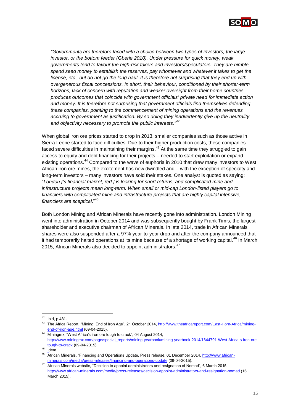

*"Governments are therefore faced with a choice between two types of investors; the large investor, or the bottom feeder (Gberie 2010). Under pressure for quick money, weak governments tend to favour the high-risk takers and investors/speculators. They are nimble, spend seed money to establish the reserves, pay whomever and whatever it takes to get the license, etc., but do not go the long haul. It is therefore not surprising that they end up with overgenerous fiscal concessions. In short, their behaviour, conditioned by their shorter-term horizons, lack of concern with reputation and weaker oversight from their home countries produces outcomes that coincide with government officials' private need for immediate action and money. It is therefore not surprising that government officials find themselves defending these companies, pointing to the commencement of mining operations and the revenues accruing to government as justification. By so doing they inadvertently give up the neutrality and objectivity necessary to promote the public interests."<sup>42</sup>*

When global iron ore prices started to drop in 2013, smaller companies such as those active in Sierra Leone started to face difficulties. Due to their higher production costs, these companies faced severe difficulties in maintaining their margins.<sup>43</sup> At the same time they struggled to gain access to equity and debt financing for their projects – needed to start exploitation or expand existing operations.<sup>44</sup> Compared to the wave of euphoria in 2010 that drew many investors to West African iron ore mines, the excitement has now dwindled and – with the exception of specialty and long-term investors – many investors have sold their stakes. One analyst is quoted as saying: "*London ['s financial market, red.] is looking for short returns, and complicated mine and infrastructure projects mean long-term. When small or mid-cap London-listed players go to financiers with complicated mine and infrastructure projects that are highly capital intensive, financiers are sceptical*." 45

Both London Mining and African Minerals have recently gone into administration. London Mining went into administration in October 2014 and was subsequently bought by Frank Timis, the largest shareholder and executive chairman of African Minerals. In late 2014, trade in African Minerals shares were also suspended after a 97% year-to-year drop and after the company announced that it had temporarily halted operations at its mine because of a shortage of working capital.<sup>46</sup> In March 2015, African Minerals also decided to appoint administrators.<sup>47</sup>

1

 $42$  Ibid, p.481.

The Africa Report, "Mining: End of Iron Age", 21 October 2014, [http://www.theafricareport.com/East-Horn-Africa/mining](http://www.theafricareport.com/East-Horn-Africa/mining-end-of-iron-age.html)[end-of-iron-age.html](http://www.theafricareport.com/East-Horn-Africa/mining-end-of-iron-age.html) (09-04-2015).

Miningmx, "West Africa's iron ore tough to crack", 04 August 2014, [http://www.miningmx.com/page/special\\_reports/mining-yearbook/mining-yearbook-2014/1644791-West-Africa-s-iron-ore](http://www.miningmx.com/page/special_reports/mining-yearbook/mining-yearbook-2014/1644791-West-Africa-s-iron-ore-tough-to-crack)[tough-to-crack](http://www.miningmx.com/page/special_reports/mining-yearbook/mining-yearbook-2014/1644791-West-Africa-s-iron-ore-tough-to-crack) (09-04-2015).

 $45$  <u>I</u>dem.

<sup>&</sup>lt;sup>46</sup> African Minerals, "Financing and Operations Update, Press release, 01 December 2014, [http://www.african](http://www.african-minerals.com/media/press-releases/financing-and-operations-update)[minerals.com/media/press-releases/financing-and-operations-update](http://www.african-minerals.com/media/press-releases/financing-and-operations-update) (09-04-2015).

<sup>47</sup> [African](http://www.african-minerals.com/media/press-releases/financing-and-operations-update) Minerals website, "Decision to appoint administrators and resignation of Nomad", 6 March 2015, http://www.african-minerals.com/media/press-releases/decision-appoint-administrators-and-resignation-nomad (16 March 2015).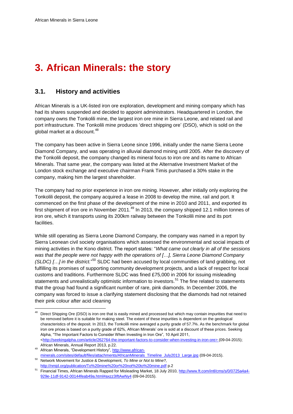# <span id="page-15-0"></span>**3. African Minerals: the story**

# <span id="page-15-1"></span>**3.1. History and activities**

African Minerals is a UK-listed iron ore exploration, development and mining company which has had its shares suspended and decided to appoint administrators. Headquartered in London, the company owns the Tonkolili mine, the largest iron ore mine in Sierra Leone, and related rail and port infrastructure. The Tonkolili mine produces 'direct shipping ore' (DSO), which is sold on the global market at a discount.<sup>48</sup>

The company has been active in Sierra Leone since 1996, initially under the name Sierra Leone Diamond Company, and was operating in alluvial diamond mining until 2005. After the discovery of the Tonkolili deposit, the company changed its mineral focus to iron ore and its name to African Minerals. That same year, the company was listed at the Alternative Investment Market of the London stock exchange and executive chairman Frank Timis purchased a 30% stake in the company, making him the largest shareholder.

The company had no prior experience in iron ore mining. However, after initially only exploring the Tonkolili deposit, the company acquired a lease in 2008 to develop the mine, rail and port. It commenced on the first phase of the development of the mine in 2010 and 2011, and exported its first shipment of iron ore in November 2011.<sup>49</sup> In 2013, the company shipped 12.1 million tonnes of iron ore, which it transports using its 200km railway between the Tonkolili mine and its port facilities.

While still operating as Sierra Leone Diamond Company, the company was named in a report by Sierra Leonean civil society organisations which assessed the environmental and social impacts of mining activities in the Kono district. The report states: "*What came out clearly in all of the sessions was that the people were not happy with the operations of […], Sierra Leone Diamond Company (SLDC) […] in the district.*" <sup>50</sup> SLDC had been accused by local communities of land grabbing, not fulfilling its promises of supporting community development projects, and a lack of respect for local customs and traditions. Furthermore SLDC was fined £75,000 in 2006 for issuing misleading statements and unrealistically optimistic information to investors.<sup>51</sup> The fine related to statements that the group had found a significant number of rare, pink diamonds. In December 2006, the company was forced to issue a clarifying statement disclosing that the diamonds had not retained their pink colour after acid cleaning

Direct Shipping Ore (DSO) is iron ore that is easily mined and processed but which may contain impurities that need to be removed before it is suitable for making steel. The extent of these impurities is dependent on the geological characteristics of the deposit. In 2013, the Tonkolili mine averaged a purity grade of 57.7%. As the benchmark for global iron ore prices is based on a purity grade of 62%, African Minerals' ore is sold at a discount of these prices. Seeking Alpha, "The Important Factors to Consider When Investing in Iron Ore", 10 April 2011, [<http://seekingalpha.com/article/262764-the-important-factors-to-consider-when-investing-in-iron-ore>](http://seekingalpha.com/article/262764-the-important-factors-to-consider-when-investing-in-iron-ore) (09-04-2015); African Minerals, Annual Report 2013, p.22.

<sup>49</sup> African Minerals, "Development History", [http://www.african](http://www.african-minerals.com/sites/default/files/attachments/AfricanMinerals_Timeline_July2013_Large.jpg)[minerals.com/sites/default/files/attachments/AfricanMinerals\\_Timeline\\_July2013\\_Large.jpg](http://www.african-minerals.com/sites/default/files/attachments/AfricanMinerals_Timeline_July2013_Large.jpg) (09-04-2015).

<sup>50</sup> Network Movement for Justice & Development, *To Mine or Not to Mine?,*  <http://nmjd.org/publication/To%20mine%20or%20not%20to%20mine.pdf> p.2

<sup>51</sup> Financial Times, African Minerals Rapped for Misleading Market, 18 July 2010[, http://www.ft.com/intl/cms/s/0/0725a4a4-](http://www.ft.com/intl/cms/s/0/0725a4a4-929e-11df-9142-00144feab49a.html#axzz3IftAwNy4) [929e-11df-9142-00144feab49a.html#axzz3IftAwNy4](http://www.ft.com/intl/cms/s/0/0725a4a4-929e-11df-9142-00144feab49a.html#axzz3IftAwNy4) (09-04-2015).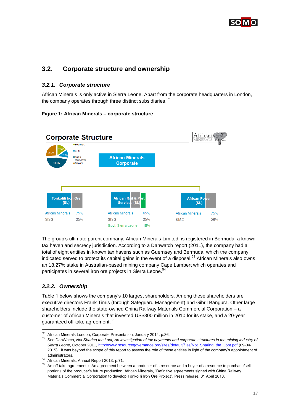

# <span id="page-16-0"></span>**3.2. Corporate structure and ownership**

#### <span id="page-16-1"></span>*3.2.1. Corporate structure*

African Minerals is only active in Sierra Leone. Apart from the corporate headquarters in London, the company operates through three distinct subsidiaries.<sup>52</sup>

#### **Figure 1: African Minerals – corporate structure**



The group's ultimate parent company, African Minerals Limited, is registered in Bermuda, a known tax haven and secrecy jurisdiction. According to a Danwatch report (2011), the company had a total of eight entities in known tax havens such as Guernsey and Bermuda, which the company indicated served to protect its capital gains in the event of a disposal.<sup>53</sup> African Minerals also owns an 18.27% stake in Australian-based mining company Cape Lambert which operates and participates in several iron ore projects in Sierra Leone.<sup>54</sup>

### <span id="page-16-2"></span>*3.2.2. Ownership*

-

Table 1 below shows the company's 10 largest shareholders. Among these shareholders are executive directors Frank Timis (through Safeguard Management) and Gibril Bangura. Other large shareholders include the state-owned China Railway Materials Commercial Corporation - a customer of African Minerals that invested US\$300 million in 2010 for its stake, and a 20-year guaranteed off-take agreement.<sup>55</sup>

<sup>&</sup>lt;sup>52</sup> African Minerals London, Corporate Presentation, January 2014, p.36.

<sup>53</sup> See DanWatch, *Not Sharing the Loot; An investigation of tax payments and corporate structures in the mining industry of Sierra Leone*, October 2011[, http://www.resourcegovernance.org/sites/default/files/Not\\_Sharing\\_the\\_Loot.pdf](http://www.resourcegovernance.org/sites/default/files/Not_Sharing_the_Loot.pdf) (09-04- 2015). It was beyond the scope of this report to assess the role of these entities in light of the company's appointment of administrators.

<sup>54</sup> African Minerals, Annual Report 2013, p.71.

<sup>55</sup> An off-take agreement is An agreement between a producer of a resource and a buyer of a resource to purchase/sell portions of the producer's future production. African Minerals, "Definitive agreements signed with China Railway Materials Commercial Corporation to develop Tonkolili Iron Ore Project", Press release, 01 April 2010,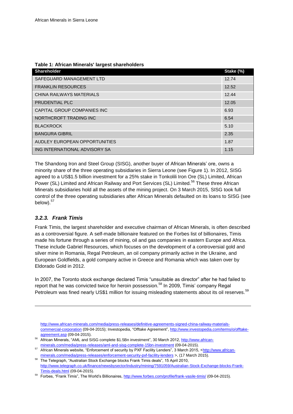#### **Table 1: African Minerals' largest shareholders**

| <b>Shareholder</b>            | Stake (%) |
|-------------------------------|-----------|
| SAFEGUARD MANAGEMENT LTD      | 12.74     |
| <b>FRANKLIN RESOURCES</b>     | 12.52     |
| CHINA RAILWAYS MATERIALS      | 12.44     |
| PRUDENTIAL PLC                | 12.05     |
| CAPITAL GROUP COMPANIES INC   | 6.93      |
| NORTHCROFT TRADING INC        | 6.54      |
| <b>BLACKROCK</b>              | 5.10      |
| <b>BANGURA GIBRIL</b>         | 2.35      |
| AUDLEY EUROPEAN OPPORTUNITIES | 1.87      |
| ING INTERNATIONAL ADVISORY SA | 1.15      |

The Shandong Iron and Steel Group (SISG), another buyer of African Minerals' ore, owns a minority share of the three operating subsidiaries in Sierra Leone (see Figure 1). In 2012, SISG agreed to a US\$1.5 billion investment for a 25% stake in Tonkolili Iron Ore (SL) Limited, African Power (SL) Limited and African Railway and Port Services (SL) Limited.<sup>56</sup> These three African Minerals subsidiaries hold all the assets of the mining project. On 3 March 2015, SISG took full control of the three operating subsidiaries after African Minerals defaulted on its loans to SISG (see below).<sup>57</sup>

#### <span id="page-17-0"></span>*3.2.3. Frank Timis*

l

Frank Timis, the largest shareholder and executive chairman of African Minerals, is often described as a controversial figure. A self-made billionaire featured on the Forbes list of billionaires, Timis made his fortune through a series of mining, oil and gas companies in eastern Europe and Africa. These include Gabriel Resources, which focuses on the development of a controversial gold and silver mine in Romania, Regal Petroleum, an oil company primarily active in the Ukraine, and European Goldfields, a gold company active in Greece and Romania which was taken over by Eldorado Gold in 2012.

In 2007, the Toronto stock exchange declared Timis "unsuitable as director" after he had failed to report that he was convicted twice for heroin possession.<sup>58</sup> In 2009, Timis' company Regal Petroleum was fined nearly US\$1 million for issuing misleading statements about its oil reserves.<sup>59</sup>

[http://www.african-minerals.com/media/press-releases/definitive-agreements-signed-china-railway-materials](http://www.african-minerals.com/media/press-releases/definitive-agreements-signed-china-railway-materials-commercial-corporation)[commercial-corporation](http://www.african-minerals.com/media/press-releases/definitive-agreements-signed-china-railway-materials-commercial-corporation) (09-04-2015); Investopedia, "Offtake Agreement"[, http://www.investopedia.com/terms/o/offtake](http://www.investopedia.com/terms/o/offtake-agreement.asp)[agreement.asp](http://www.investopedia.com/terms/o/offtake-agreement.asp) (09-04-2015).

- African Minerals, "AML and SISG complete \$1.5Bn investment", 30 March 2012, [http://www.african](http://www.african-minerals.com/media/press-releases/aml-and-sisg-complete-15bn-investment)[minerals.com/media/press-releases/aml-and-sisg-complete-15bn-investment](http://www.african-minerals.com/media/press-releases/aml-and-sisg-complete-15bn-investment) (09-04-2015).
- 57 African Minerals website, "Enforcement of security by PXF Facility Lenders", 3 March 2015, [<http://www.african](http://www.african-minerals.com/media/press-releases/enforcement-security-pxf-facility-lenders)[minerals.com/media/press-releases/enforcement-security-pxf-facility-lenders](http://www.african-minerals.com/media/press-releases/enforcement-security-pxf-facility-lenders) >, (17 March 2015).

<sup>58</sup> The Telegraph, "Australian Stock Exchange blocks Frank Timis deals", 15 April 2010, [http://www.telegraph.co.uk/finance/newsbysector/industry/mining/7591059/Australian-Stock-Exchange-blocks-Frank-](http://www.telegraph.co.uk/finance/newsbysector/industry/mining/7591059/Australian-Stock-Exchange-blocks-Frank-Timis-deals.html)[Timis-deals.html](http://www.telegraph.co.uk/finance/newsbysector/industry/mining/7591059/Australian-Stock-Exchange-blocks-Frank-Timis-deals.html) (09-04-2015).

59 Forbes, "Frank Timis", The World's Billionaires[, http://www.forbes.com/profile/frank-vasile-timis/](http://www.forbes.com/profile/frank-vasile-timis/) (09-04-2015).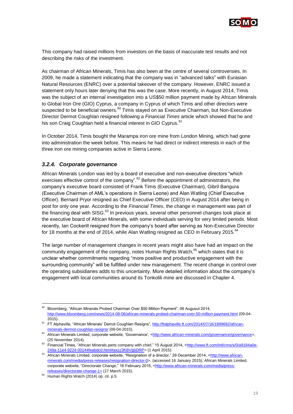

This company had raised millions from investors on the basis of inaccurate test results and not describing the risks of the investment.

As chairman of African Minerals, Timis has also been at the centre of several controversies. In 2009, he made a statement indicating that the company was in "advanced talks" with Eurasian Natural Resources (ENRC) over a potential takeover of the company. However, ENRC issued a statement only hours later denying that this was the case. More recently, in August 2014, Timis was the subject of an internal investigation into a US\$50 million payment made by African Minerals to Global Iron Ore (GIO) Cyprus, a company in Cyprus of which Timis and other directors were suspected to be beneficial owners.<sup>60</sup> Timis stayed on as Executive Chairman, but Non-Executive Director Dermot Coughlan resigned following a *Financial Times* article which showed that he and his son Craig Coughlan held a financial interest in GIO Cyprus.<sup>61</sup>

In October 2014, Timis bought the Marampa iron ore mine from London Mining, which had gone into administration the week before. This means he had direct or indirect interests in each of the three iron ore mining companies active in Sierra Leone.

#### <span id="page-18-0"></span>*3.2.4. Corporate governance*

African Minerals London was led by a board of executive and non-executive directors "which exercises effective control of the company".<sup>62</sup> Before the appointment of administrators, the company's executive board consisted of Frank Timis (Executive Chairman), Gibril Bangura (Executive Chairman of AML's operations in Sierra Leone) and Alan Watling (Chief Executive Officer). Bernard Pryor resigned as Chief Executive Officer (CEO) in August 2014 after being in post for only one year. According to the *Financial Times*, the change in management was part of the financing deal with SISG.<sup>63</sup> In previous years, several other personnel changes took place at the executive board of African Minerals, with some individuals serving for very limited periods. Most recently, Ian Cockerill resigned from the company's board after serving as Non-Executive Director for 18 months at the end of 2014, while Alan Watling resigned as CEO in February 2015. $^{64}$ 

The large number of management changes in recent years might also have had an impact on the community engagement of the company, notes Human Rights Watch,<sup>65</sup> which states that it is unclear whether commitments regarding "more positive and productive engagement with the surrounding community" will be fulfilled under new management. The recent change in control over the operating subsidiaries adds to this uncertainty. More detailed information about the company's engagement with local communities around its Tonkolili mine are discussed in Chapter 4.

<span id="page-18-1"></span>-

<sup>&</sup>lt;sup>60</sup> Bloomberg, "African Minerals Probed Chairman Over \$50 Million Payment", 06 Augusut 2014, <http://www.bloomberg.com/news/2014-08-06/african-minerals-probed-chairman-over-50-million-payment.html> (09-04- 2015).

<sup>&</sup>lt;sup>61</sup> FT Alphaville, "African Minerals' Demot Coughlan Resigns"[, http://ftalphaville.ft.com/2014/07/16/1899692/african](http://ftalphaville.ft.com/2014/07/16/1899692/african-minerals-dermot-coughlan-resigns/)[minerals-dermot-coughlan-resigns/](http://ftalphaville.ft.com/2014/07/16/1899692/african-minerals-dermot-coughlan-resigns/) (09-04-2015).

<sup>62</sup> African Minerals Limited, corporate website, 'Governance', [<http://www.african-minerals.com/governance/governance>](http://www.african-minerals.com/governance/governance), (25 November 2014).

<sup>63</sup> Financial Times, "African Minerals parts company with chief," 15 August 2014, [<http://www.ft.com/intl/cms/s/0/a9184a0e-](http://www.ft.com/intl/cms/s/0/a9184a0e-249a-11e4-9224-00144feabdc0.html#axzz3KBVgbDRP)[249a-11e4-9224-00144feabdc0.html#axzz3KBVgbDRP>](http://www.ft.com/intl/cms/s/0/a9184a0e-249a-11e4-9224-00144feabdc0.html#axzz3KBVgbDRP) (1 April 2015).

<sup>64</sup> African Minerals Limited, corporate website, "Resignation of a director," 29 December 2014, [<http://www.african](http://www.african-minerals.com/media/press-releases/resignation-director-0)[minerals.com/media/press-releases/resignation-director-0>](http://www.african-minerals.com/media/press-releases/resignation-director-0), (accessed 16 January 2015); African Minerals Limited, corporate website, "Directorate Change," 16 February 2015, [<http://www.african-minerals.com/media/press](http://www.african-minerals.com/media/press-releases/directorate-change-1)[releases/directorate-change-1>](http://www.african-minerals.com/media/press-releases/directorate-change-1) (17 March 2015).

<sup>&</sup>lt;sup>65</sup> Human Rights Watch (2014) op. cit. p.5.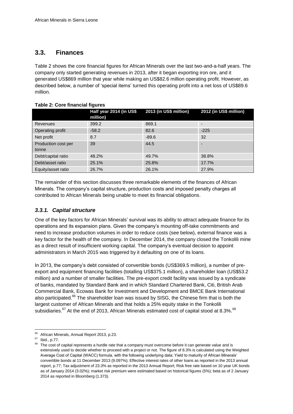### **3.3. Finances**

Table 2 shows the core financial figures for African Minerals over the last two-and-a-half years. The company only started generating revenues in 2013, after it began exporting iron ore, and it generated US\$869 million that year while making an US\$82.6 million operating profit. However, as described below, a number of 'special items' turned this operating profit into a net loss of US\$89.6 million.

#### **Table 2: Core financial figures**

|                              | Half year 2014 (in US\$<br>million) | 2013 (in US\$ million) | 2012 (in US\$ million) |
|------------------------------|-------------------------------------|------------------------|------------------------|
| <b>Revenues</b>              | 399.2                               | 869.1                  |                        |
| Operating profit             | $-58.2$                             | 82.6                   | $-225$                 |
| Net profit                   | 8.7                                 | $-89.6$                | 32                     |
| Production cost per<br>tonne | 39                                  | 44.5                   |                        |
| Debt/capital ratio           | 48.2%                               | 49.7%                  | 38.8%                  |
| Debt/asset ratio             | 25.1%                               | 25.8%                  | 17.7%                  |
| Equity/asset ratio           | 26.7%                               | 26.1%                  | 27.9%                  |

The remainder of this section discusses three remarkable elements of the finances of African Minerals. The company's capital structure, production costs and imposed penalty charges all contributed to African Minerals being unable to meet its financial obligations.

#### <span id="page-19-0"></span>*3.3.1. Capital structure*

One of the key factors for African Minerals' survival was its ability to attract adequate finance for its operations and its expansion plans. Given the company's mounting off-take commitments and need to increase production volumes in order to reduce costs (see below), external finance was a key factor for the health of the company. In December 2014, the company closed the Tonkolili mine as a direct result of insufficient working capital. The company's eventual decision to appoint administrators in March 2015 was triggered by it defaulting on one of its loans.

In 2013, the company's debt consisted of convertible bonds (US\$369.5 million), a number of preexport and equipment financing facilities (totalling US\$375.1 million), a shareholder loan (US\$53.2 million) and a number of smaller facilities. The pre-export credit facility was issued by a syndicate of banks, mandated by Standard Bank and in which Standard Chartered Bank, Citi, British Arab Commercial Bank, Ecowas Bank for Investment and Development and BMCE Bank International also participated.<sup>66</sup> The shareholder loan was issued by SISG, the Chinese firm that is both the largest customer of African Minerals and that holds a 25% equity stake in the Tonkolili subsidiaries.<sup>67</sup> At the end of 2013, African Minerals estimated cost of capital stood at 8.3%.<sup>68</sup>

 $^{66}$  African Minerals, Annual Report 2013, p.23.

Ibid., p.77.

The cost of capital represents a hurdle rate that a company must overcome before it can generate value and is extensively used to decide whether to proceed with a project or not. The figure of 8.3% is calculated using the Weighted Average Cost of Capital (WACC) formula, with the following underlying data; Yield to maturity of African Minerals' convertible bonds at 11 December 2013 (9.097%); Effective interest rates of other loans as reported in the 2013 annual report, p.77; Tax adjustment of 23.3% as reported in the 2013 Annual Report; Risk free rate based on 10 year UK bonds as of January 2014 (3.02%); market risk premium were estimated based on historical figures (5%); beta as of 2 January 2014 as reported in Bloomberg (1.373).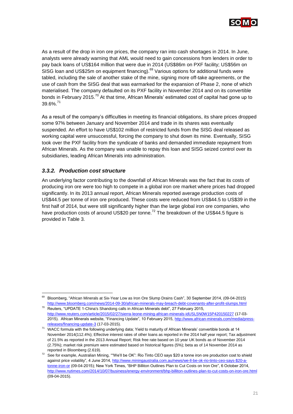

As a result of the drop in iron ore prices, the company ran into cash shortages in 2014. In June, analysts were already warning that AML would need to gain concessions from lenders in order to pay back loans of US\$164 million that were due in 2014 (US\$86m on PXF facility; US\$56m on SISG loan and US\$25m on equipment financing).<sup>69</sup> Various options for additional funds were tabled, including the sale of another stake of the mine, signing more off-take agreements, or the use of cash from the SISG deal that was earmarked for the expansion of Phase 2, none of which materialised. The company defaulted on its PXF facility in November 2014 and on its convertible bonds in February 2015.<sup>70</sup> At that time, African Minerals' estimated cost of capital had gone up to 39.6%.<sup>71</sup>

As a result of the company's difficulties in meeting its financial obligations, its share prices dropped some 97% between January and November 2014 and trade in its shares was eventually suspended. An effort to have US\$102 million of restricted funds from the SISG deal released as working capital were unsuccessful, forcing the company to shut down its mine. Eventually, SISG took over the PXF facility from the syndicate of banks and demanded immediate repayment from African Minerals. As the company was unable to repay this loan and SISG seized control over its subsidiaries, leading African Minerals into administration.

#### <span id="page-20-0"></span>*3.3.2. Production cost structure*

1

An underlying factor contributing to the downfall of African Minerals was the fact that its costs of producing iron ore were too high to compete in a global iron ore market where prices had dropped significantly. In its 2013 annual report, African Minerals reported average production costs of US\$44.5 per tonne of iron ore produced. These costs were reduced from US\$44.5 to US\$39 in the first half of 2014, but were still significantly higher than the large global iron ore companies, who have production costs of around US\$20 per tonne.<sup>72</sup> The breakdown of the US\$44.5 figure is provided in Table 3.

<sup>69</sup> [Bloomberg, "African Minerals at Six-Year Low as Iron Ore Slump Drains Cash", 30 September 2014, \(09-04-2015\)](http://www.bloomberg.com/news/2014-09-30/african-minerals-may-breach-debt-covenants-after-profit-slumps.html)  <http://www.bloomberg.com/news/2014-09-30/african-minerals-may-breach-debt-covenants-after-profit-slumps.html>

 $70$  Reuters, "UPDATE 1-China's Shandong calls in African Minerals debt", 27 February 2015, <http://www.reuters.com/article/2015/02/27/sierra-leone-mining-african-minerals-idUSL5N0W15P420150227> (17-03- 2015). African Minerals website, "Financing Update", 10 February 2015[, http://www.african-minerals.com/media/press](http://www.african-minerals.com/media/press-releases/financing-update-3)[releases/financing-update-3](http://www.african-minerals.com/media/press-releases/financing-update-3) (17-03-2015).

 $71$  WACC formula with the following underlying data; Yield to maturity of African Minerals' convertible bonds at 14 November 2014(112.4%); Effective interest rates of other loans as reported in the 2014 half year report; Tax adjustment of 21.5% as reported in the 2013 Annual Report; Risk free rate based on 10 year UK bonds as of November 2014 (2.75%); market risk premium were estimated based on historical figures (5%); beta as of 14 November 2014 as reported in Bloomberg (2.619).

<sup>72</sup> See for example, Australian Mining, ""We'll be OK": Rio Tinto CEO says \$20 a tonne iron ore production cost to shield against price volatility", 4 June 2014, [http://www.miningaustralia.com.au/news/we-ll-be-ok-rio-tinto-ceo-says-\\$20-a](http://www.miningaustralia.com.au/news/we-ll-be-ok-rio-tinto-ceo-says-$20-a-tonne-iron-or)[tonne-iron-or](http://www.miningaustralia.com.au/news/we-ll-be-ok-rio-tinto-ceo-says-$20-a-tonne-iron-or) (09-04-2015); New York Times, "BHP Billiton Outlines Plan to Cut Costs on Iron Ore", 6 October 2014, <http://www.nytimes.com/2014/10/07/business/energy-environment/bhp-billiton-outlines-plan-to-cut-costs-on-iron-ore.html> (09-04-2015).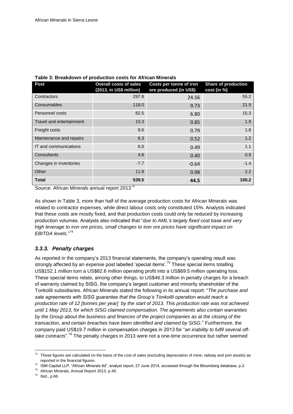| <b>Post</b>              | <b>Overall costs of sales</b><br>(2013, in US\$ million) | Costs per tonne of iron<br>ore produced (in US\$) | Share of production<br>cost (in %) |
|--------------------------|----------------------------------------------------------|---------------------------------------------------|------------------------------------|
| Contractors              | 297.8                                                    | 24.56                                             | 55.2                               |
| Consumables              | 118.0                                                    | 9.73                                              | 21.9                               |
| Personnel costs          | 82.5                                                     | 6.80                                              | 15.3                               |
| Travel and entertainment | 10.3                                                     | 0.85                                              | 1.9                                |
| Freight costs            | 9.6                                                      | 0.79                                              | 1.8                                |
| Maintenance and repairs  | 6.3                                                      | 0.52                                              | 1.2                                |
| IT and communications    | 6.0                                                      | 0.49                                              | 1.1                                |
| Consultants              | 4.8                                                      | 0.40                                              | 0.9                                |
| Changes in inventories   | $-7.7$                                                   | $-0.64$                                           | $-1.4$                             |
| Other                    | 11.9                                                     | 0.98                                              | 2.2                                |
| <b>Total</b>             | 539.5                                                    | 44.5                                              | 100.2                              |

#### **Table 3: Breakdown of production costs for African Minerals**

Source: African Minerals annual report 2013<sup>73</sup>

As shown in Table 3, more than half of the average production costs for African Minerals was related to contractor expenses, while direct labour costs only constituted 15%. Analysts indicated that these costs are mostly fixed, and that production costs could only be reduced by increasing production volumes. Analysts also indicated that "*due to AML's largely fixed cost base and very high leverage to iron ore prices, small changes to iron ore prices have significant impact on EBITDA levels*."<sup>74</sup>

### <span id="page-21-0"></span>*3.3.3. Penalty charges*

As reported in the company's 2013 financial statements, the company's operating result was strongly affected by an expense post labelled 'special items'.<sup>75</sup> These special items totalling US\$152.1 million turn a US\$82.6 million operating profit into a US\$69.5 million operating loss. These special items relate, among other things, to US\$46.3 million in penalty charges for a breach of warranty claimed by SISG, the company's largest customer and minority shareholder of the Tonkolili subsidiaries. African Minerals stated the following in its annual report: "*The purchase and sale agreements with SISG guarantee that the Group's Tonkolili operation would reach a production rate of 12 [tonnes per year] by the start of 2013. This production rate was not achieved until 1 May 2013, for which SISG claimed compensation. The agreements also contain warranties by the Group about the business and finances of the project companies as at the closing of the transaction, and certain breaches have been identified and claimed by SISG.*" Furthermore, the company paid US\$19.7 million in compensation charges in 2013 for "*an inability to fulfil several offtake contracts*"*. <sup>76</sup>* The penalty charges in 2013 were not a one-time occurrence but rather seemed

 $73$  These figures are calculated on the basis of the cost of sales (excluding depreciation of mine, railway and port assets) as reported in the financial figures.

<sup>74</sup> ISM Capital LLP, "African Minerals ltd", analyst report, 27 June 2014, accessed through the Bloomberg database, p.2.

<sup>75</sup> African Minerals, Annual Report 2013, p.49.

 $76$  Ibid., p.66.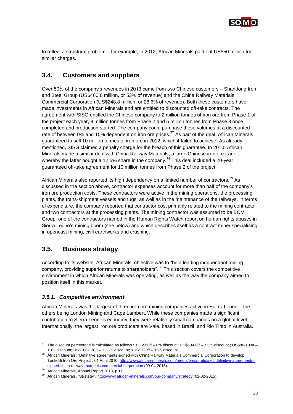

<span id="page-22-0"></span>to reflect a structural problem – for example, in 2012, African Minerals paid out US\$50 million for similar charges.

# **3.4. Customers and suppliers**

Over 80% of the company's revenues in 2013 came from two Chinese customers – Shandong Iron and Steel Group (US\$460.6 million, or 53% of revenue) and the China Railway Materials Commercial Corporation (US\$248.8 million, or 28.6% of revenue). Both these customers have made investments in African Minerals and are entitled to discounted off-take contracts. The agreement with SISG entitled the Chinese company to 2 million tonnes of iron ore from Phase 1 of the project each year, 8 million tonnes from Phase 2 and 5 million tonnes from Phase 3 once completed and production started. The company could purchase these volumes at a discounted rate of between 0% and 15% dependent on iron ore prices.<sup>77</sup> As part of the deal, African Minerals guaranteed to sell 10 million tonnes of iron ore in 2012, which it failed to achieve. As already mentioned, SISG claimed a penalty charge for the breach of this guarantee. In 2010, African Minerals made a similar deal with China Railway Materials, a large Chinese iron ore trader, whereby the latter bought a 12.5% share in the company.<sup>78</sup> This deal included a 20-year guaranteed off-take agreement for 10 million tonnes from Phase 2 of the project.

African Minerals also reported its high dependency on a limited number of contractors.<sup>79</sup> As discussed in the section above, contractor expenses account for more than half of the company's iron ore production costs. These contractors were active in the mining operations, the processing plants, the trans-shipment vessels and tugs, as well as in the maintenance of the railways. In terms of expenditure, the company reported that contractor cost primarily related to the mining contractor and two contractors at the processing plants. The mining contractor was assumed to be BCM Group, one of the contractors named in the Human Rights Watch report on human rights abuses in Sierra Leone's mining boom (see below) and which describes itself as a contract miner specialising in opencast mining, civil earthworks and crushing.

# <span id="page-22-1"></span>**3.5. Business strategy**

According to its website, African Minerals' objective was to "be a leading independent mining company, providing superior returns to shareholders".<sup>80</sup> This section covers the competitive environment in which African Minerals was operating, as well as the way the company aimed to position itself in this market.

#### <span id="page-22-2"></span>*3.5.1. Competitive environment*

African Minerals was the largest of three iron ore mining companies active in Sierra Leone – the others being London Mining and Cape Lambert. While these companies made a significant contribution to Sierra Leone's economy, they were relatively small companies on a global level. Internationally, the largest iron ore producers are Vale, based in Brazil, and Rio Tinto in Australia.

1

 $77$  The discount percentage is calculated as follows : <US\$60/t – 0% discount; US\$60-80/t – 7.5% discount ; US\$80-100/t – 10% discount; US\$100-120/t – 12.5% discount; >US\$120/t – 15% discount.

 $78$  African Minerals, "Definitive agreements signed with China Railway Materials Commercial Corporation to develop Tonkolili Iron Ore Project", 01 April 2010, [http://www.african-minerals.com/media/press-releases/definitive-agreements](http://www.african-minerals.com/media/press-releases/definitive-agreements-signed-china-railway-materials-commercial-corporation)[signed-china-railway-materials-commercial-corporation](http://www.african-minerals.com/media/press-releases/definitive-agreements-signed-china-railway-materials-commercial-corporation) (09-04-2015).

<sup>79</sup> African Minerals, Annual Report 2013, p.11.

<sup>&</sup>lt;sup>80</sup> African Minerals, "Strategy",<http://www.african-minerals.com/our-company/strategy> (02-02-2015).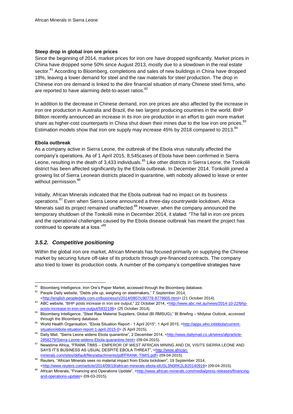#### **Steep drop in global iron ore prices**

Since the beginning of 2014, market prices for iron ore have dropped significantly. Market prices in China have dropped some 50% since August 2013, mostly due to a slowdown in the real estate sector.<sup>81</sup> According to Bloomberg, completions and sales of new buildings in China have dropped 18%, leaving a lower demand for steel and the raw materials for steel production. The drop in Chinese iron ore demand is linked to the dire financial situation of many Chinese steel firms, who are reported to have alarming debt-to-asset ratios.<sup>82</sup>

In addition to the decrease in Chinese demand, iron ore prices are also affected by the increase in iron ore production in Australia and Brazil, the two largest producing countries in the world. BHP Billiton recently announced an increase in its iron ore production in an effort to gain more market share as higher-cost counterparts in China shut down their mines due to the low iron ore prices.<sup>83</sup> Estimation models show that iron ore supply may increase 45% by 2018 compared to 2013. $^{84}$ 

#### **Ebola outbreak**

l

As a company active in Sierra Leone, the outbreak of the Ebola virus naturally affected the company's operations. As of 1 April 2015, 8,545cases of Ebola have been confirmed in Sierra Leone, resulting in the death of 3,433 individuals.<sup>85</sup> Like other districts in Sierra Leone, the Tonkolili district has been affected significantly by the Ebola outbreak. In December 2014, Tonkolili joined a growing list of Sierra Leonean districts placed in quarantine, with nobody allowed to leave or enter without permission.<sup>86</sup>

Initially, African Minerals indicated that the Ebola outbreak had no impact on its business operations.<sup>87</sup> Even when Sierra Leone announced a three-day countrywide lockdown, Africa Minerals said its project remained unaffected.<sup>88</sup> However, when the company announced the temporary shutdown of the Tonkolili mine in December 2014, it stated: "The fall in iron ore prices and the operational challenges caused by the Ebola disease outbreak has meant the project has continued to operate at a loss."89

#### <span id="page-23-0"></span>*3.5.2. Competitive positioning*

Within the global iron ore market, African Minerals has focused primarily on supplying the Chinese market by securing future off-take of its products through pre-financed contracts. The company also tried to lower its production costs. A number of the company's competitive strategies have

<sup>&</sup>lt;sup>81</sup> Bloomberg Intelligence, Iron Ore's Paper Market, accessed through the Bloomberg database.

<sup>82</sup> People Daily website, "Debts pile up, weighing on steelmakers," 7 September 2014, [<http://english.peopledaily.com.cn/business/n/2014/0907/c90778-8779605.html>](http://english.peopledaily.com.cn/business/n/2014/0907/c90778-8779605.html) (21 October 2014).

<sup>83</sup> ABC website, "BHP posts increase in iron ore output," 22 October 2014, [<http://www.abc.net.au/news/2014-10-22/bhp](http://www.abc.net.au/news/2014-10-22/bhp-posts-increase-in-iron-ore-output/5832198)[posts-increase-in-iron-ore-output/5832198>](http://www.abc.net.au/news/2014-10-22/bhp-posts-increase-in-iron-ore-output/5832198) (25 October 2014).

<sup>84</sup> Bloomberg Intelligence, "Steel Raw Material Suppliers, Global (BI RMSUG)," BI Briefing – Midyear Outlook, accessed through the Bloomberg database.

<sup>85</sup> World Health Organisation, "Ebola Situation Report - 1 April 2015", 1 April 2015, [<http://apps.who.int/ebola/current](http://apps.who.int/ebola/current-situation/ebola-situation-report-1-april-2015-0)[situation/ebola-situation-report-1-april-2015-0>](http://apps.who.int/ebola/current-situation/ebola-situation-report-1-april-2015-0) (5 April 2015).

Daily Mail, "Sierra Leone widens Ebola quarantine", 2 December 2014, [<http://www.dailymail.co.uk/wires/afp/article-](http://www.dailymail.co.uk/wires/afp/article-2858279/Sierra-Leone-widens-Ebola-quarantine.html)[2858279/Sierra-Leone-widens-Ebola-quarantine.html>](http://www.dailymail.co.uk/wires/afp/article-2858279/Sierra-Leone-widens-Ebola-quarantine.html) (09-04-2015).

<sup>87</sup> Newstime Africa, "FRANK TIMIS – EMPEROR OF WEST AFRICAN MINING AND OIL VISITS SIERRA LEONE AND SAYS IT'S BUSINESS AS USUAL DESPITE EBOLA THREAT", [<http://www.african](http://www.african-minerals.com/sites/default/files/attachments/pdf/FRANK-TIMIS.pdf)[minerals.com/sites/default/files/attachments/pdf/FRANK-TIMIS.pdf>](http://www.african-minerals.com/sites/default/files/attachments/pdf/FRANK-TIMIS.pdf) (09-04-2015).

<sup>88</sup> Reuters, "African Minerals sees no material impact from Ebola lockdown", 19 September 2014, [<http://www.reuters.com/article/2014/09/19/african-minerals-ebola-idUSL3N0RK2LB20140919>](http://www.reuters.com/article/2014/09/19/african-minerals-ebola-idUSL3N0RK2LB20140919) (09-04-2015).

<sup>89</sup> African Minerals, "Financing and Operations Update", [<http://www.african-minerals.com/media/press-releases/financing](http://www.african-minerals.com/media/press-releases/financing-and-operations-update)[and-operations-update>](http://www.african-minerals.com/media/press-releases/financing-and-operations-update) (09-03-2015).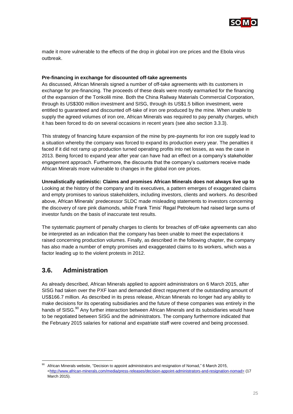

made it more vulnerable to the effects of the drop in global iron ore prices and the Ebola virus outbreak.

#### **Pre-financing in exchange for discounted off-take agreements**

As discussed, African Minerals signed a number of off-take agreements with its customers in exchange for pre-financing. The proceeds of these deals were mostly earmarked for the financing of the expansion of the Tonkolili mine. Both the China Railway Materials Commercial Corporation, through its US\$300 million investment and SISG, through its US\$1.5 billion investment, were entitled to guaranteed and discounted off-take of iron ore produced by the mine. When unable to supply the agreed volumes of iron ore, African Minerals was required to pay penalty charges, which it has been forced to do on several occasions in recent years (see also section 3.3.3).

This strategy of financing future expansion of the mine by pre-payments for iron ore supply lead to a situation whereby the company was forced to expand its production every year. The penalties it faced if it did not ramp up production turned operating profits into net losses, as was the case in 2013. Being forced to expand year after year can have had an effect on a company's stakeholder engagement approach. Furthermore, the discounts that the company's customers receive made African Minerals more vulnerable to changes in the global iron ore prices.

**Unrealistically optimistic: Claims and promises African Minerals does not always live up to** Looking at the history of the company and its executives, a pattern emerges of exaggerated claims and empty promises to various stakeholders, including investors, clients and workers. As described above, African Minerals' predecessor SLDC made misleading statements to investors concerning the discovery of rare pink diamonds, while Frank Timis' Regal Petroleum had raised large sums of investor funds on the basis of inaccurate test results.

The systematic payment of penalty charges to clients for breaches of off-take agreements can also be interpreted as an indication that the company has been unable to meet the expectations it raised concerning production volumes. Finally, as described in the following chapter, the company has also made a number of empty promises and exaggerated claims to its workers, which was a factor leading up to the violent protests in 2012.

# <span id="page-24-0"></span>**3.6. Administration**

1

As already described, African Minerals applied to appoint administrators on 6 March 2015, after SISG had taken over the PXF loan and demanded direct repayment of the outstanding amount of US\$166.7 million. As described in its press release, African Minerals no longer had any ability to make decisions for its operating subsidiaries and the future of these companies was entirely in the hands of SISG.<sup>90</sup> Any further interaction between African Minerals and its subsidiaries would have to be negotiated between SISG and the administrators. The company furthermore indicated that the February 2015 salaries for national and expatriate staff were covered and being processed.

African Minerals website, "Decision to appoint administrators and resignation of Nomad," 6 March 2015, [<http://www.african-minerals.com/media/press-releases/decision-appoint-administrators-and-resignation-nomad>](http://www.african-minerals.com/media/press-releases/decision-appoint-administrators-and-resignation-nomad) (17 March 2015).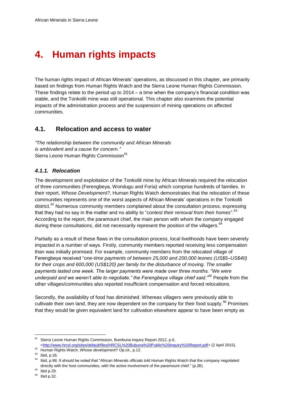# <span id="page-25-0"></span>**4. Human rights impacts**

The human rights impact of African Minerals' operations, as discussed in this chapter, are primarily based on findings from Human Rights Watch and the Sierra Leone Human Rights Commission. These findings relate to the period up to 2014 – a time when the company's financial condition was stable, and the Tonkolili mine was still operational. This chapter also examines the potential impacts of the administration process and the suspension of mining operations on affected communities.

### <span id="page-25-1"></span>**4.1. Relocation and access to water**

*"The relationship between the community and African Minerals is ambivalent and a cause for concern."*  Sierra Leone Human Rights Commission<sup>91</sup>

### <span id="page-25-2"></span>*4.1.1. Relocation*

The development and exploitation of the Tonkolili mine by African Minerals required the relocation of three communities (Ferengbeya, Wondugu and Foria) which comprise hundreds of families. In their report, *Whose Development?*, Human Rights Watch demonstrates that the relocation of these communities represents one of the worst aspects of African Minerals' operations in the Tonkolili district.<sup>92</sup> Numerous community members complained about the consultation process, expressing that they had no say in the matter and no ability to "*contest their removal from their homes*".<sup>93</sup> According to the report, the paramount chief, the main person with whom the company engaged during these consultations, did not necessarily represent the position of the villagers.<sup>94</sup>

Partially as a result of these flaws in the consultation process, local livelihoods have been severely impacted in a number of ways. Firstly, community members reported receiving less compensation than was initially promised. For example, community members from the relocated village of Ferengbeya received "*one-time payments of between 25,000 and 200,000 leones (US\$5–US\$40)*  for their crops and 600,000 (US\$120) per family for the disturbance of moving. The smaller *payments lasted one week. The larger payments were made over three months. "We were underpaid and we weren't able to negotiate," the Ferengbeya village chief said."<sup>95</sup>* People from the other villages/communities also reported insufficient compensation and forced relocations.

Secondly, the availability of food has diminished. Whereas villagers were previously able to cultivate their own land, they are now dependent on the company for their food supply.<sup>96</sup> Promises that they would be given equivalent land for cultivation elsewhere appear to have been empty as

l

<sup>95</sup> Ibid p.29.

<sup>96</sup> Ibid p.32.

Sierra Leone Human Rights Commission, Bumbuna Inquiry Report 2012, p.6,

[<sup>&</sup>lt;http://www.hrcsl.org/sites/default/files/HRCSL%20Bubuna%20Public%20Inquiry%20Report.pdf>](http://www.hrcsl.org/sites/default/files/HRCSL%20Bubuna%20Public%20Inquiry%20Report.pdf) (2 April 2015).

<sup>92</sup> Human Rights Watch, Whose development? Op.cit., p.12.

<sup>93</sup> Ibid, p.26.

<sup>&</sup>lt;sup>94</sup> Ibid, p.98. It should be noted that "African Minerals officials told Human Rights Watch that the company negotiated directly with the host communities, with the active involvement of the paramount chief." (p.26).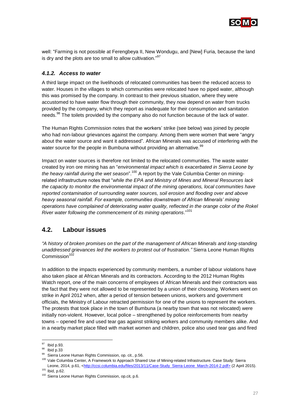

well: "Farming is not possible at Ferengbeya II, New Wondugu, and [New] Furia, because the land is dry and the plots are too small to allow cultivation."<sup>97</sup>

#### <span id="page-26-0"></span>*4.1.2. Access to water*

A third large impact on the livelihoods of relocated communities has been the reduced access to water. Houses in the villages to which communities were relocated have no piped water, although this was promised by the company. In contrast to their previous situation, where they were accustomed to have water flow through their community, they now depend on water from trucks provided by the company, which they report as inadequate for their consumption and sanitation needs.<sup>98</sup> The toilets provided by the company also do not function because of the lack of water.

The Human Rights Commission notes that the workers' strike (see below) was joined by people who had non-labour grievances against the company. Among them were women that were "angry about the water source and want it addressed". African Minerals was accused of interfering with the water source for the people in Bumbuna without providing an alternative.<sup>99</sup>

Impact on water sources is therefore not limited to the relocated communities. The waste water created by iron ore mining has an "*environmental impact which is exacerbated in Sierra Leone by*  the heavy rainfall during the wet season".<sup>100</sup> A report by the Vale Columbia Center on miningrelated infrastructure notes that "*while the EPA and Ministry of Mines and Mineral Resources lack the capacity to monitor the environmental impact of the mining operations, local communities have reported contamination of surrounding water sources, soil erosion and flooding over and above heavy seasonal rainfall. For example, communities downstream of African Minerals' mining operations have complained of deteriorating water quality, reflected in the orange color of the Rokel River water following the commencement of its mining operations*." 101

### <span id="page-26-1"></span>**4.2. Labour issues**

*"A history of broken promises on the part of the management of African Minerals and long-standing unaddressed grievances led the workers to protest out of frustration."* Sierra Leone Human Rights Commission $102$ 

In addition to the impacts experienced by community members, a number of labour violations have also taken place at African Minerals and its contractors. According to the 2012 Human Rights Watch report, one of the main concerns of employees of African Minerals and their contractors was the fact that they were not allowed to be represented by a union of their choosing. Workers went on strike in April 2012 when, after a period of tension between unions, workers and government officials, the Ministry of Labour retracted permission for one of the unions to represent the workers. The protests that took place in the town of Bumbuna (a nearby town that was not relocated) were initially non-violent. However, local police – strengthened by police reinforcements from nearby towns – opened fire and used tear gas against striking workers and community members alike. And in a nearby market place filled with market women and children, police also used tear gas and fired

1

<sup>&</sup>lt;sup>97</sup> Ibid p.93.

<sup>98</sup> Ibid p.33

<sup>99</sup> Sierra Leone Human Rights Commission, op. cit., p.56.

<sup>&</sup>lt;sup>100</sup> Vale Columbia Center, A Framework to Approach Shared Use of Mining-related Infrastructure. Case Study: Sierra Leone, 2014, p.61, [<http://ccsi.columbia.edu/files/2013/11/Case-Study\\_Sierra-Leone\\_March-2014-2.pdf>](http://ccsi.columbia.edu/files/2013/11/Case-Study_Sierra-Leone_March-2014-2.pdf) (2 April 2015). <sup>101</sup> Ibid, p.62.

<sup>102</sup> Sierra Leone Human Rights Commission, op.cit, p.6.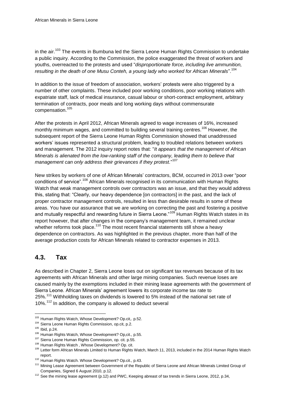in the air.<sup>103</sup> The events in Bumbuna led the Sierra Leone Human Rights Commission to undertake a public inquiry. According to the Commission, the police exaggerated the threat of workers and youths, overreacted to the protests and used "*disproportionate force, including live ammunition, resulting in the death of one Musu Conteh, a young lady who worked for African Minerals*".<sup>104</sup>

In addition to the issue of freedom of association, workers' protests were also triggered by a number of other complaints. These included poor working conditions, poor working relations with expatriate staff, lack of medical insurance, casual labour or short-contract employment, arbitrary termination of contracts, poor meals and long working days without commensurate compensation.<sup>105</sup>

After the protests in April 2012, African Minerals agreed to wage increases of 16%, increased monthly minimum wages, and committed to building several training centres.<sup>106</sup> However, the subsequent report of the Sierra Leone Human Rights Commission showed that unaddressed workers' issues represented a structural problem, leading to troubled relations between workers and management. The 2012 inquiry report notes that: "*It appears that the management of African Minerals is alienated from the low-ranking staff of the company, leading them to believe that management can only address their grievances if they protest.*" 107

New strikes by workers of one of African Minerals' contractors, BCM, occurred in 2013 over "poor conditions of service".<sup>108</sup> African Minerals recognised in its communication with Human Rights Watch that weak management controls over contractors was an issue, and that they would address this, stating that: "Clearly, our heavy dependence [on contractors] in the past, and the lack of proper contractor management controls, resulted in less than desirable results in some of these areas. You have our assurance that we are working on correcting the past and fostering a positive and mutually respectful and rewarding future in Sierra Leone."<sup>109</sup> Human Rights Watch states in its report however, that after changes in the company's management team, it remained unclear whether reforms took place.<sup>110</sup> The most recent financial statements still show a heavy dependence on contractors. As was highlighted in the previous chapter, more than half of the average production costs for African Minerals related to contractor expenses in 2013.

# <span id="page-27-0"></span>**4.3. Tax**

As described in Chapter 2, Sierra Leone loses out on significant tax revenues because of its tax agreements with African Minerals and other large mining companies. Such revenue loses are caused mainly by the exemptions included in their mining lease agreements with the government of Sierra Leone. African Minerals' agreement lowers its corporate income tax rate to 25%.<sup>111</sup> Withholding taxes on dividends is lowered to 5% instead of the national set rate of 10%.<sup>112</sup> In addition, the company is allowed to deduct several

l <sup>103</sup> Human Rights Watch, Whose Development? Op.cit,. p.52.

<sup>104</sup> Sierra Leone Human Rights Commission, op.cit, p.2.

<sup>105</sup> Ibid, p.24.

<sup>106</sup> Human Rights Watch, Whose Development? Op,cit., p.55.

<sup>107</sup> Sierra Leone Human Rights Commission, op. cit. p.55.

<sup>108</sup> Human Rights Watch, Whose Development? Op. cit.

<sup>109</sup> Letter form African Minerals Limited to Human Rights Watch, March 11, 2013, included in the 2014 Human Rights Watch report.

<sup>110</sup> Human Rights Watch. Whose Development? Op.cit., p.43.

<sup>&</sup>lt;sup>111</sup> Mining Lease Agreement between Government of the Republic of Sierra Leone and African Minerals Limited Group of Companies, Signed 6 August 2010, p.12.

<sup>&</sup>lt;sup>112</sup> See the mining lease agreement (p.12) and PWC, Keeping abreast of tax trends in Sierra Leone, 2012, p.34,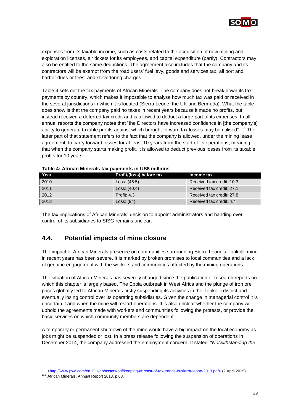

expenses from its taxable income, such as costs related to the acquisition of new mining and exploration licenses, air tickets for its employees, and capital expenditure (partly). Contractors may also be entitled to the same deductions. The agreement also includes that the company and its contractors will be exempt from the road users' fuel levy, goods and services tax, all port and harbor dues or fees, and stevedoring charges.

Table 4 sets out the tax payments of African Minerals. The company does not break down its tax payments by country, which makes it impossible to analyse how much tax was paid or received in the several jurisdictions in which it is located (Sierra Leone, the UK and Bermuda). What the table does show is that the company paid no taxes in recent years because it made no profits, but instead received a deferred tax credit and is allowed to deduct a large part of its expenses. In all annual reports the company notes that "the Directors have increased confidence in [the company's] ability to generate taxable profits against which brought forward tax losses may be utilised".<sup>113</sup> The latter part of that statement refers to the fact that the company is allowed, under the mining lease agreement, to carry forward losses for at least 10 years from the start of its operations, meaning that when the company starts making profit, it is allowed to deduct previous losses from its taxable profits for 10 years.

| Year | Profit/(loss) before tax | Income tax                |
|------|--------------------------|---------------------------|
| 2010 | Loss: $(46.5)$           | Received tax credit: 10.3 |
| 2011 | Loss: $(40.4)$           | Received tax credit: 27.1 |
| 2012 | Profit: $4.3$            | Received tax credit: 27.8 |
| 2013 | Loss: $(94)$             | Received tax credit: 4.4  |

The tax implications of African Minerals' decision to appoint administrators and handing over control of its subsidiaries to SISG remains unclear.

# <span id="page-28-0"></span>**4.4. Potential impacts of mine closure**

The impact of African Minerals presence on communities surrounding Sierra Leone's Tonkolili mine in recent years has been severe. It is marked by broken promises to local communities and a lack of genuine engagement with the workers and communities affected by the mining operations.

The situation of African Minerals has severely changed since the publication of research reports on which this chapter is largely based. The Ebola outbreak in West Africa and the plunge of iron ore prices globally led to African Minerals firstly suspending its activities in the Tonkolili district and eventually losing control over its operating subsidiaries. Given the change in managerial control it is uncertain if and when the mine will restart operations. It is also unclear whether the company will uphold the agreements made with workers and communities following the protests, or provide the basic services on which community members are dependent.

A temporary or permanent shutdown of the mine would have a big impact on the local economy as jobs might be suspended or lost. In a press release following the suspension of operations in December 2014, the company addressed the employment concern. It stated: "*Notwithstanding the* 

-

[<sup>&</sup>lt;http://www.pwc.com/en\\_GH/gh/assets/pdf/keeping-abreast-of-tax-trends-in-sierra-leone-2013.pdf>](http://www.pwc.com/en_GH/gh/assets/pdf/keeping-abreast-of-tax-trends-in-sierra-leone-2013.pdf) (2 April 2015).

<sup>113</sup> African Minerals, Annual Report 2013, p.68.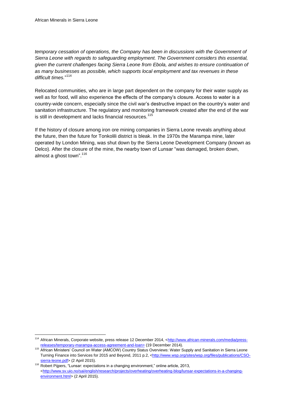l

*temporary cessation of operations, the Company has been in discussions with the Government of Sierra Leone with regards to safeguarding employment. The Government considers this essential, given the current challenges facing Sierra Leone from Ebola, and wishes to ensure continuation of as many businesses as possible, which supports local employment and tax revenues in these difficult times.*" 114

Relocated communities, who are in large part dependent on the company for their water supply as well as for food, will also experience the effects of the company's closure. Access to water is a country-wide concern, especially since the civil war's destructive impact on the country's water and sanitation infrastructure. The regulatory and monitoring framework created after the end of the war is still in development and lacks financial resources.<sup>115</sup>

If the history of closure among iron ore mining companies in Sierra Leone reveals anything about the future, then the future for Tonkolili district is bleak. In the 1970s the Marampa mine, later operated by London Mining, was shut down by the Sierra Leone Development Company (known as Delco). After the closure of the mine, the nearby town of Lunsar "was damaged, broken down, almost a ghost town".<sup>116</sup>

<sup>114</sup> African Minerals, Corporate website, press release 12 December 2014, [<http://www.african-minerals.com/media/press](http://www.african-minerals.com/media/press-releases/temporary-marampa-access-agreement-and-loan)[releases/temporary-marampa-access-agreement-and-loan>](http://www.african-minerals.com/media/press-releases/temporary-marampa-access-agreement-and-loan) (19 December 2014).

<sup>115</sup> African Ministers' Council on Water (AMCOW) Country Status Overviews: Water Supply and Sanitation in Sierra Leone Turning Finance into Services for 2015 and Beyond, 2011 p.2, [<http://www.wsp.org/sites/wsp.org/files/publications/CSO](http://www.wsp.org/sites/wsp.org/files/publications/CSO-sierra-leone.pdf)[sierra-leone.pdf>](http://www.wsp.org/sites/wsp.org/files/publications/CSO-sierra-leone.pdf) (2 April 2015).

<sup>116</sup> Robert Pijpers, "Lunsar: expectations in a changing environment," online article, 2013, [<http://www.sv.uio.no/sai/english/research/projects/overheating/overheating-blog/lunsar-expectations-in-a-changing](http://www.sv.uio.no/sai/english/research/projects/overheating/overheating-blog/lunsar-expectations-in-a-changing-environment.html)[environment.html>](http://www.sv.uio.no/sai/english/research/projects/overheating/overheating-blog/lunsar-expectations-in-a-changing-environment.html) (2 April 2015).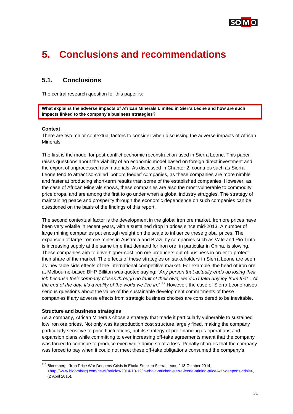

# <span id="page-30-0"></span>**5. Conclusions and recommendations**

# <span id="page-30-1"></span>**5.1. Conclusions**

The central research question for this paper is:

**What explains the adverse impacts of African Minerals Limited in Sierra Leone and how are such impacts linked to the company's business strategies?**

#### **Context**

There are two major contextual factors to consider when discussing the adverse impacts of African Minerals.

The first is the model for post-conflict economic reconstruction used in Sierra Leone. This paper raises questions about the viability of an economic model based on foreign direct investment and the export of unprocessed raw materials. As discussed in Chapter 2, countries such as Sierra Leone tend to attract so-called 'bottom feeder' companies, as these companies are more nimble and faster at producing short-term results than some of the established companies. However, as the case of African Minerals shows, these companies are also the most vulnerable to commodity price drops, and are among the first to go under when a global industry struggles. The strategy of maintaining peace and prosperity through the economic dependence on such companies can be questioned on the basis of the findings of this report.

The second contextual factor is the development in the global iron ore market. Iron ore prices have been very volatile in recent years, with a sustained drop in prices since mid-2013. A number of large mining companies put enough weight on the scale to influence these global prices. The expansion of large iron ore mines in Australia and Brazil by companies such as Vale and Rio Tinto is increasing supply at the same time that demand for iron ore, in particular in China, is slowing. These companies aim to drive higher-cost iron ore producers out of business in order to protect their share of the market. The effects of these strategies on stakeholders in Sierra Leone are seen as inevitable side effects of the international competitive market. For example, the head of iron ore at Melbourne-based BHP Billiton was quoted saying: "*Any person that actually ends up losing their job because their company closes through no fault of their own, we don't take any joy from that…At the end of the day, it's a reality of the world we live in*."<sup>117</sup> However, the case of Sierra Leone raises serious questions about the value of the sustainable development commitments of these companies if any adverse effects from strategic business choices are considered to be inevitable.

#### **Structure and business strategies**

1

As a company, African Minerals chose a strategy that made it particularly vulnerable to sustained low iron ore prices. Not only was its production cost structure largely fixed, making the company particularly sensitive to price fluctuations, but its strategy of pre-financing its operations and expansion plans while committing to ever increasing off-take agreements meant that the company was forced to continue to produce even while doing so at a loss. Penalty charges that the company was forced to pay when it could not meet these off-take obligations consumed the company's

<sup>117</sup> Bloomberg, "Iron Price War Deepens Crisis in Ebola-Stricken Sierra Leone," 13 October 2014, [<http://www.bloomberg.com/news/articles/2014-10-12/in-ebola-stricken-sierra-leone-mining-price-war-deepens-crisis>](http://www.bloomberg.com/news/articles/2014-10-12/in-ebola-stricken-sierra-leone-mining-price-war-deepens-crisis), (2 April 2015).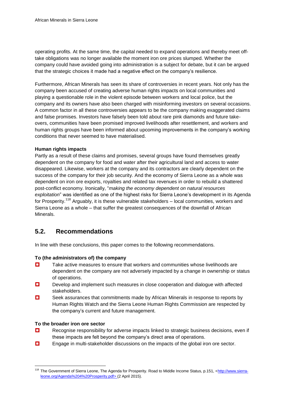operating profits. At the same time, the capital needed to expand operations and thereby meet offtake obligations was no longer available the moment iron ore prices slumped. Whether the company could have avoided going into administration is a subject for debate, but it can be argued that the strategic choices it made had a negative effect on the company's resilience.

Furthermore, African Minerals has seen its share of controversies in recent years. Not only has the company been accused of creating adverse human rights impacts on local communities and playing a questionable role in the violent episode between workers and local police, but the company and its owners have also been charged with misinforming investors on several occasions. A common factor in all these controversies appears to be the company making exaggerated claims and false promises. Investors have falsely been told about rare pink diamonds and future takeovers, communities have been promised improved livelihoods after resettlement, and workers and human rights groups have been informed about upcoming improvements in the company's working conditions that never seemed to have materialised.

#### **Human rights impacts**

Partly as a result of these claims and promises, several groups have found themselves greatly dependent on the company for food and water after their agricultural land and access to water disappeared. Likewise, workers at the company and its contractors are clearly dependent on the success of the company for their job security. And the economy of Sierra Leone as a whole was dependent on iron ore exports, royalties and related tax revenues in order to rebuild a shattered post-conflict economy. Ironically, "*making the economy dependent on natural resources exploitation*" was identified as one of the highest risks for Sierra Leone's development in its Agenda for Prosperity.<sup>118</sup> Arguably, it is these vulnerable stakeholders – local communities, workers and Sierra Leone as a whole – that suffer the greatest consequences of the downfall of African Minerals.

# <span id="page-31-0"></span>**5.2. Recommendations**

In line with these conclusions, this paper comes to the following recommendations.

#### **To (the administrators of) the company**

- $\Box$  Take active measures to ensure that workers and communities whose livelihoods are dependent on the company are not adversely impacted by a change in ownership or status of operations.
- Develop and implement such measures in close cooperation and dialogue with affected stakeholders.
- Seek assurances that commitments made by African Minerals in response to reports by Human Rights Watch and the Sierra Leone Human Rights Commission are respected by the company's current and future management.

#### **To the broader iron ore sector**

- Recognise responsibility for adverse impacts linked to strategic business decisions, even if these impacts are felt beyond the company's direct area of operations.
- $\Box$  Engage in multi-stakeholder discussions on the impacts of the global iron ore sector.

<sup>&</sup>lt;sup>118</sup> The Government of Sierra Leone, The Agenda for Prosperity. Road to Middle Income Status, p.151, [<http://www.sierra](http://www.sierra-leone.org/Agenda%204%20Prosperity.pdf)[leone.org/Agenda%204%20Prosperity.pdf>](http://www.sierra-leone.org/Agenda%204%20Prosperity.pdf) (2 April 2015).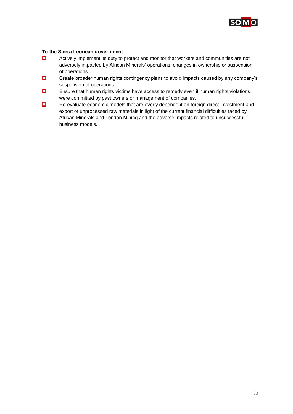

#### **To the Sierra Leonean government**

- $\Box$  Actively implement its duty to protect and monitor that workers and communities are not adversely impacted by African Minerals' operations, changes in ownership or suspension of operations.
- $\Box$  Create broader human rights contingency plans to avoid impacts caused by any company's suspension of operations.
- $\Box$  Ensure that human rights victims have access to remedy even if human rights violations were committed by past owners or management of companies.
- Re-evaluate economic models that are overly dependent on foreign direct investment and export of unprocessed raw materials in light of the current financial difficulties faced by African Minerals and London Mining and the adverse impacts related to unsuccessful business models.